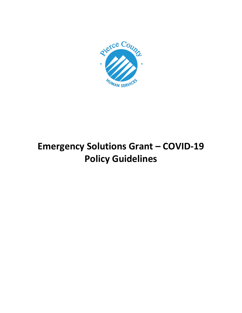

# **Emergency Solutions Grant – COVID-19 Policy Guidelines**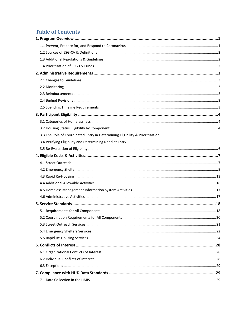# **Table of Contents**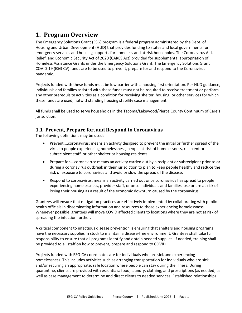# <span id="page-3-0"></span>**1. Program Overview**

The Emergency Solutions Grant (ESG) program is a federal program administered by the Dept. of Housing and Urban Development (HUD) that provides funding to states and local governments for emergency services and housing supports for homeless and at-risk households. The Coronavirus Aid, Relief, and Economic Security Act of 2020 (CARES Act) provided for supplemental appropriation of Homeless Assistance Grants under the Emergency Solutions Grant. The Emergency Solutions Grant COVID-19 (ESG-CV) funds are to be used to prevent, prepare for and respond to the Coronavirus pandemic.

Projects funded with these funds must be low barrier with a housing first orientation. Per HUD guidance, individuals and families assisted with these funds must not be required to receive treatment or perform any other prerequisite activities as a condition for receiving shelter, housing, or other services for which these funds are used, notwithstanding housing stability case management.

All funds shall be used to serve households in the Tacoma/Lakewood/Pierce County Continuum of Care's jurisdiction.

# <span id="page-3-1"></span>**1.1 Prevent, Prepare for, and Respond to Coronavirus**

The following definitions may be used:

- Prevent....coronavirus: means an activity designed to prevent the initial or further spread of the virus to people experiencing homelessness, people at-risk of homelessness, recipient or subrecipient staff, or other shelter or housing residents.
- Prepare for....coronavirus: means an activity carried out by a recipient or subrecipient prior to or during a coronavirus outbreak in their jurisdiction to plan to keep people healthy and reduce the risk of exposure to coronavirus and avoid or slow the spread of the disease.
- Respond to coronavirus: means an activity carried out once coronavirus has spread to people experiencing homelessness, provider staff, or once individuals and families lose or are at-risk of losing their housing as a result of the economic downturn caused by the coronavirus.

Grantees will ensure that mitigation practices are effectively implemented by collaborating with public health officials in disseminating information and resources to those experiencing homelessness. Whenever possible, grantees will move COVID affected clients to locations where they are not at risk of spreading the infection further.

A critical component to infectious disease prevention is ensuring that shelters and housing programs have the necessary supplies in stock to maintain a disease-free environment. Grantees shall take full responsibility to ensure that all programs identify and obtain needed supplies. If needed, training shall be provided to all staff on how to prevent, prepare and respond to COVID.

Projects funded with ESG-CV coordinate care for individuals who are sick and experiencing homelessness. This includes activities such as arranging transportation for individuals who are sick and/or securing an appropriate, safe location where people can stay during the illness. During quarantine, clients are provided with essentials: food, laundry, clothing, and prescriptions (as needed) as well as case management to determine and direct clients to needed services. Established relationships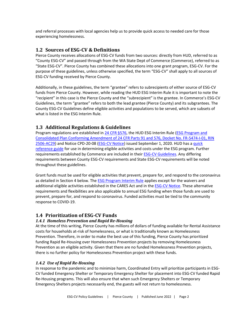and referral processes with local agencies help us to provide quick access to needed care for those experiencing homelessness.

### <span id="page-4-0"></span>**1.2 Sources of ESG-CV & Definitions**

Pierce County receives allocations of ESG-CV funds from two sources: directly from HUD, referred to as "County ESG-CV" and passed through from the WA State Dept of Commerce (Commerce), referred to as "State ESG-CV". Pierce County has combined these allocations into one grant program, ESG-CV. For the purpose of these guidelines, unless otherwise specified, the term "ESG-CV" shall apply to all sources of ESG-CV funding received by Pierce County.

Additionally, in these guidelines, the term "grantee" refers to subrecipients of either source of ESG-CV funds from Pierce County. However, while reading the HUD ESG Interim Rule it is important to note the "recipient" in this case is the Pierce County and the "subrecipient" is the grantee. In Commerce's ESG-CV Guidelines, the term "grantee" refers to both the lead grantee (Pierce County) and its subgrantees. The County ESG-CV Guidelines define eligible activities and populations to be served, which are subsets of what is listed in the ESG Interim Rule.

#### <span id="page-4-1"></span>**1.3 Additional Regulations & Guidelines**

Program regulations are established i[n 24 CFR §576,](https://www.ecfr.gov/cgi-bin/text-idx?c=ecfr;sid=dc4c2f93cdadf08974315fa2bfdf4cec;rgn=div5;view=text;node=24%3A3.1.1.3.8;idno=24;cc=ecfr#_top) the HUD ESG Interim Rule (ESG Program and [Consolidated Plan Conforming Amendment of 24 CFR Parts 91 and 576, Docket No. FR-5474-I-01, RIN](https://www.hudexchange.info/resource/1927/hearth-esg-program-and-consolidated-plan-conforming-amendments/)  [2506-AC29\)](https://www.hudexchange.info/resource/1927/hearth-esg-program-and-consolidated-plan-conforming-amendments/) and Notice CPD-20-08 [\(ESG-CV Notice\)](https://www.hud.gov/sites/dfiles/OCHCO/documents/20-08cpdn.pdf) issued September 1, 2020. HUD has a quick [reference guide](https://files.hudexchange.info/resources/documents/ESG-Program-Components-Quick-Reference.pdf) for use in determining eligible activities and costs under the ESG program. Further requirements established by Commerce are included in thei[r ESG-CV Guidelines.](https://deptofcommerce.app.box.com/s/fsmf4pmwkroszjt702j1l9cfnvk5ixmq) Any differing requirements between County ESG-CV requirements and State ESG-CV requirements will be noted throughout these guidelines.

Grant funds must be used for eligible activities that prevent, prepare for, and respond to the coronavirus as detailed in Section 4 below. The [ESG Program Interim Rule](https://www.ecfr.gov/cgi-bin/text-idx?c=ecfr;sid=dc4c2f93cdadf08974315fa2bfdf4cec;rgn=div5;view=text;node=24%3A3.1.1.3.8;idno=24;cc=ecfr#_top) applies except for the waivers and additional eligible activities established in the CARES Act and in the **ESG-CV Notice**. These alternative requirements and flexibilities are also applicable to annual ESG funding when those funds are used to prevent, prepare for, and respond to coronavirus. Funded activities must be tied to the community response to COVID-19.

# <span id="page-4-2"></span>**1.4 Prioritization of ESG-CV Funds**

#### *1.4.1 Homeless Prevention and Rapid Re-Housing*

At the time of this writing, Pierce County has millions of dollars of funding available for Rental Assistance costs for households at-risk of homelessness, or what is traditionally known as Homelessness Prevention. Therefore, in order to make the best use of this funding, Pierce County has prioritized funding Rapid Re-Housing over Homelessness Prevention projects by removing Homelessness Prevention as an eligible activity. Given that there are no funded Homelessness Prevention projects, there is no further policy for Homelessness Prevention project with these funds.

#### *1.4.2 Use of Rapid Re-Housing*

In response to the pandemic and to minimize harm, Coordinated Entry will prioritize participants in ESG-CV funded Emergency Shelter or Temporary Emergency Shelter for placement into ESG-CV funded Rapid Re-Housing programs. This will also ensure that when such Emergency Shelters or Temporary Emergency Shelters projects necessarily end, the guests will not return to homelessness.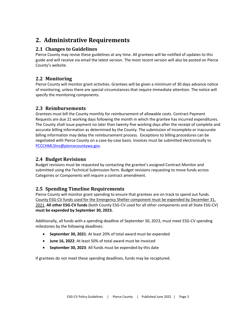# <span id="page-5-0"></span>**2. Administrative Requirements**

# <span id="page-5-1"></span>**2.1 Changes to Guidelines**

Pierce County may revise these guidelines at any time. All grantees will be notified of updates to this guide and will receive via email the latest version. The most recent version will also be posted on Pierce County's website.

# <span id="page-5-2"></span>**2.2 Monitoring**

Pierce County will monitor grant activities. Grantees will be given a minimum of 30 days advance notice of monitoring, unless there are special circumstances that require immediate attention. The notice will specify the monitoring components.

# <span id="page-5-3"></span>**2.3 Reimbursements**

Grantees must bill the County monthly for reimbursement of allowable costs. Contract Payment Requests are due 21 working days following the month in which the grantee has incurred expenditures. The County shall issue payment no later than twenty-five working days after the receipt of complete and accurate billing information as determined by the County. The submission of incomplete or inaccurate billing information may delay the reimbursement process. Exceptions to billing procedures can be negotiated with Pierce County on a case-by-case basis. Invoices must be submitted electronically to [PCCCHMLSInv@piercecountywa.gov.](mailto:PCCCHMLSInv@piercecountywa.gov)

# <span id="page-5-4"></span>**2.4 Budget Revisions**

Budget revisions must be requested by contacting the grantee's assigned Contract Monitor and submitted using the Technical Submission form. Budget revisions requesting to move funds across Categories or Components will require a contract amendment.

# <span id="page-5-5"></span>**2.5 Spending Timeline Requirements**

Pierce County will monitor grant spending to ensure that grantees are on track to spend out funds. County ESG-CV funds used for the Emergency Shelter component must be expended by December 31, 2021. **All other ESG-CV funds** (both County ESG-CV used for all other components and all State ESG-CV) **must be expended by September 30, 2023.**

Additionally, all funds with a spending deadline of September 30, 2023, must meet ESG-CV spending milestones by the following deadlines:

- **September 30, 2021**: At least 20% of total award must be expended
- **June 16, 2022**: At least 50% of total award must be invoiced
- **September 30, 2023**: All funds must be expended by this date

If grantees do not meet these spending deadlines, funds may be recaptured.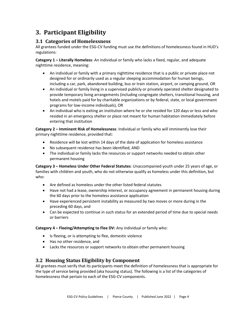# <span id="page-6-0"></span>**3. Participant Eligibility**

# <span id="page-6-1"></span>**3.1 Categories of Homelessness**

All grantees funded under the ESG-CV funding must use the definitions of homelessness found in HUD's regulations:

**Category 1 – Literally Homeless**: An individual or family who lacks a fixed, regular, and adequate nighttime residence, meaning:

- An individual or family with a primary nighttime residence that is a public or private place not designed for or ordinarily used as a regular sleeping accommodation for human beings, including a car, park, abandoned building, bus or train station, airport, or camping ground, OR
- An individual or family living in a supervised publicly or privately operated shelter designated to provide temporary living arrangements (including congregate shelters, transitional housing, and hotels and motels paid for by charitable organizations or by federal, state, or local government programs for low-income individuals), OR
- An individual who is exiting an institution where he or she resided for 120 days or less and who resided in an emergency shelter or place not meant for human habitation immediately before entering that institution

**Category 2 – Imminent Risk of Homelessness**: Individual or family who will imminently lose their primary nighttime residence, provided that:

- Residence will be lost within 14 days of the date of application for homeless assistance
- No subsequent residence has been identified, AND
- The individual or family lacks the resources or support networks needed to obtain other permanent housing

**Category 3 – Homeless Under Other Federal Statutes**: Unaccompanied youth under 25 years of age, or families with children and youth, who do not otherwise qualify as homeless under this definition, but who:

- Are defined as homeless under the other listed federal statutes
- Have not had a lease, ownership interest, or occupancy agreement in permanent housing during the 60 days prior to the homeless assistance application
- Have experienced persistent instability as measured by two moves or more during in the preceding 60 days, and
- Can be expected to continue in such status for an extended period of time due to special needs or barriers

**Category 4 – Fleeing/Attempting to Flee DV:** Any individual or family who:

- Is fleeing, or is attempting to flee, domestic violence
- Has no other residence, and
- Lacks the resources or support networks to obtain other permanent housing

# <span id="page-6-2"></span>**3.2 Housing Status Eligibility by Component**

All grantees must verify that its participants meet the definition of homelessness that is appropriate for the type of service being provided (aka housing status). The following is a list of the categories of homelessness that pertain to each of the ESG-CV components.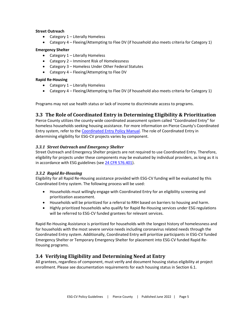#### **Street Outreach**

- Category 1 Literally Homeless
- Category 4 Fleeing/Attempting to Flee DV (if household also meets criteria for Category 1)

#### **Emergency Shelter**

- Category  $1$  Literally Homeless
- Category 2 Imminent Risk of Homelessness
- Category 3 Homeless Under Other Federal Statutes
- Category 4 Fleeing/Attempting to Flee DV

#### **Rapid Re-Housing**

- Category 1 Literally Homeless
- Category 4 Fleeing/Attempting to Flee DV (if household also meets criteria for Category 1)

Programs may not use health status or lack of income to discriminate access to programs.

# <span id="page-7-0"></span>**3.3 The Role of Coordinated Entry in Determining Eligibility & Prioritization**

Pierce County utilizes the county-wide coordinated assessment system called "Coordinated Entry" for homeless households seeking housing assistance. For more information on Pierce County's Coordinated Entry system, refer to the Coordinated [Entry Policy Manual.](https://www.piercecountywa.gov/DocumentCenter/View/66615/Pierce-County-CE-Policy-Manual-Published-071618?bidId) The role of Coordinated Entry in determining eligibility for ESG-CV projects varies by component.

#### *3.3.1 Street Outreach and Emergency Shelter*

Street Outreach and Emergency Shelter projects are not required to use Coordinated Entry. Therefore, eligibility for projects under these components may be evaluated by individual providers, as long as it is in accordance with ESG guidelines (se[e 24 CFR 576.401\)](https://ecfr.federalregister.gov/current/title-24/subtitle-B/chapter-V/subchapter-C/part-576/subpart-E/section-576.401).

#### *3.3.2 Rapid Re-Housing*

Eligibility for all Rapid Re-Housing assistance provided with ESG-CV funding will be evaluated by this Coordinated Entry system. The following process will be used:

- Households must willingly engage with Coordinated Entry for an eligibility screening and prioritization assessment.
- Households will be prioritized for a referral to RRH based on barriers to housing and harm.
- Highly prioritized households who qualify for Rapid Re-Housing services under ESG regulations will be referred to ESG-CV funded grantees for relevant services.

Rapid Re-Housing Assistance is prioritized for households with the longest history of homelessness and for households with the most severe service needs including coronavirus related needs through the Coordinated Entry system. Additionally, Coordinated Entry will prioritize participants in ESG-CV funded Emergency Shelter or Temporary Emergency Shelter for placement into ESG-CV funded Rapid Re-Housing programs.

# <span id="page-7-1"></span>**3.4 Verifying Eligibility and Determining Need at Entry**

All grantees, regardless of component, must verify and document housing status eligibility at project enrollment. Please see documentation requirements for each housing status in Section 6.1.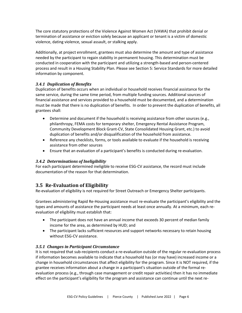The core statutory protections of the Violence Against Women Act (VAWA) that prohibit denial or termination of assistance or eviction solely because an applicant or tenant is a victim of domestic violence, dating violence, sexual assault, or stalking apply.

Additionally, at project enrollment, grantees must also determine the amount and type of assistance needed by the participant to regain stability in permanent housing. This determination must be conducted in cooperation with the participant and utilizing a strength-based and person-centered process and result in a Housing Stability Plan. Please see Section 5: Service Standards for more detailed information by component.

#### *3.4.1 Duplication of Benefits*

Duplication of benefits occurs when an individual or household receives financial assistance for the same service, during the same time period, from multiple funding sources. Additional sources of financial assistance and services provided to a household must be documented, and a determination must be made that there is no duplication of benefits. In order to prevent the duplication of benefits, all grantees shall:

- Determine and document if the household is receiving assistance from other sources (e.g., philanthropy, FEMA costs for temporary shelter, Emergency Rental Assistance Program, Community Development Block Grant-CV, State Consolidated Housing Grant, etc.) to avoid duplication of benefits and/or disqualification of the household from assistance.
- Reference any checklists, forms, or tools available to evaluate if the household is receiving assistance from other sources
- Ensure that an evaluation of a participant's benefits is conducted during re-evaluation.

# *3.4.2 Determinations of Ineligibility*

For each participant determined ineligible to receive ESG-CV assistance, the record must include documentation of the reason for that determination.

# <span id="page-8-0"></span>**3.5 Re-Evaluation of Eligibility**

Re-evaluation of eligibility is not required for Street Outreach or Emergency Shelter participants.

Grantees administering Rapid Re-Housing assistance must re-evaluate the participant's eligibility and the types and amounts of assistance the participant needs at least once annually. At a minimum, each reevaluation of eligibility must establish that:

- The participant does not have an annual income that exceeds 30 percent of median family income for the area, as determined by HUD; and
- The participant lacks sufficient resources and support networks necessary to retain housing without ESG-CV assistance.

#### *3.5.1 Changes in Participant Circumstance*

It is not required that sub-recipients conduct a re-evaluation outside of the regular re-evaluation process if information becomes available to indicate that a household has (or may have) increased income or a change in household circumstances that affect eligibility for the program. Since it is NOT required, if the grantee receives information about a change in a participant's situation outside of the formal reevaluation process (e.g., through case management or credit repair activities) then it has no immediate effect on the participant's eligibility for the program and assistance can continue until the next re-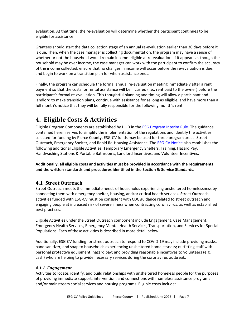evaluation. At that time, the re-evaluation will determine whether the participant continues to be eligible for assistance.

Grantees should start the data collection stage of an annual re-evaluation earlier than 30 days before it is due. Then, when the case manager is collecting documentation, the program may have a sense of whether or not the household would remain income-eligible at re-evaluation. If it appears as though the household may be over income, the case manager can work with the participant to confirm the accuracy of the income collected, ensure that no changes in income will occur before the re-evaluation is due, and begin to work on a transition plan for when assistance ends.

Finally, the program can schedule the formal annual re-evaluation meeting immediately after a rent payment so that the costs for rental assistance will be incurred (i.e., rent paid to the owner) before the participant's formal re-evaluation. This thoughtful planning and timing will allow a participant and landlord to make transition plans, continue with assistance for as long as eligible, and have more than a full month's notice that they will be fully responsible for the following month's rent.

# <span id="page-9-0"></span>**4. Eligible Costs & Activities**

Eligible Program Components are established by HUD in the [ESG Program Interim Rule.](https://www.ecfr.gov/cgi-bin/text-idx?c=ecfr;sid=dc4c2f93cdadf08974315fa2bfdf4cec;rgn=div5;view=text;node=24%3A3.1.1.3.8;idno=24;cc=ecfr#_top) The guidance contained herein serves to simplify the implementation of the regulations and identify the activities selected for funding by Pierce County. ESG-CV funds may be used for three program areas: Street Outreach, Emergency Shelter, and Rapid Re-Housing Assistance. The **ESG-CV Notice also establishes the** following additional Eligible Activities: Temporary Emergency Shelters, Training, Hazard Pay, Handwashing Stations & Portable Bathrooms, Landlord Incentives, and Volunteer Incentives.

**Additionally, all eligible costs and activities must be provided in accordance with the requirements and the written standards and procedures identified in the Section 5: Service Standards.**

# <span id="page-9-1"></span>**4.1 Street Outreach**

Street Outreach meets the immediate needs of households experiencing unsheltered homelessness by connecting them with emergency shelter, housing, and/or critical health services. Street Outreach activities funded with ESG-CV must be consistent with CDC guidance related to street outreach and engaging people at increased risk of severe illness when contracting coronavirus, as well as established best practices.

Eligible Activities under the Street Outreach component include Engagement, Case Management, Emergency Health Services, Emergency Mental Health Services, Transportation, and Services for Special Populations. Each of these activities is described in more detail below.

Additionally, ESG-CV funding for street outreach to respond to COVID-19 may include providing masks, hand sanitizer, and soap to households experiencing unsheltered homelessness; outfitting staff with personal protective equipment; hazard pay; and providing reasonable incentives to volunteers (e.g. cash) who are helping to provide necessary services during the coronavirus outbreak.

#### *4.1.1 Engagement*

Activities to locate, identify, and build relationships with unsheltered homeless people for the purposes of providing immediate support, intervention, and connections with homeless assistance programs and/or mainstream social services and housing programs. Eligible costs include: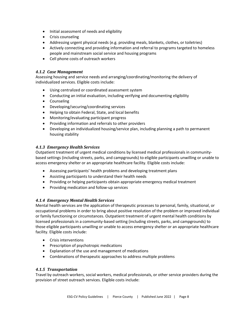- Initial assessment of needs and eligibility
- Crisis counseling
- Addressing urgent physical needs (e.g. providing meals, blankets, clothes, or toiletries)
- Actively connecting and providing information and referral to programs targeted to homeless people and mainstream social service and housing programs
- Cell phone costs of outreach workers

#### *4.1.2 Case Management*

Assessing housing and service needs and arranging/coordinating/monitoring the delivery of individualized services. Eligible costs include:

- Using centralized or coordinated assessment system
- Conducting an initial evaluation, including verifying and documenting eligibility
- Counseling
- Developing/securing/coordinating services
- Helping to obtain Federal, State, and local benefits
- Monitoring/evaluating participant progress
- Providing information and referrals to other providers
- Developing an individualized housing/service plan, including planning a path to permanent housing stability

#### *4.1.3 Emergency Health Services*

Outpatient treatment of urgent medical conditions by licensed medical professionals in communitybased settings (including streets, parks, and campgrounds) to eligible participants unwilling or unable to access emergency shelter or an appropriate healthcare facility. Eligible costs include:

- Assessing participants' health problems and developing treatment plans
- Assisting participants to understand their health needs
- Providing or helping participants obtain appropriate emergency medical treatment
- Providing medication and follow-up services

#### *4.1.4 Emergency Mental Health Services*

Mental health services are the application of therapeutic processes to personal, family, situational, or occupational problems in order to bring about positive resolution of the problem or improved individual or family functioning or circumstances. Outpatient treatment of urgent mental health conditions by licensed professionals in a community-based setting (including streets, parks, and campgrounds) to those eligible participants unwilling or unable to access emergency shelter or an appropriate healthcare facility. Eligible costs include:

- Crisis interventions
- Prescription of psychotropic medications
- Explanation of the use and management of medications
- Combinations of therapeutic approaches to address multiple problems

#### *4.1.5 Transportation*

Travel by outreach workers, social workers, medical professionals, or other service providers during the provision of street outreach services. Eligible costs include: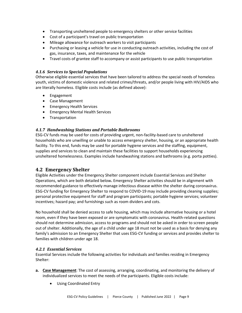- Transporting unsheltered people to emergency shelters or other service facilities
- Cost of a participant's travel on public transportation
- Mileage allowance for outreach workers to visit participants
- Purchasing or leasing a vehicle for use in conducting outreach activities, including the cost of gas, insurance, taxes, and maintenance for the vehicle
- Travel costs of grantee staff to accompany or assist participants to use public transportation

#### *4.1.6 Services to Special Populations*

Otherwise eligible essential services that have been tailored to address the special needs of homeless youth, victims of domestic violence and related crimes/threats, and/or people living with HIV/AIDS who are literally homeless. Eligible costs include (as defined above):

- Engagement
- Case Management
- Emergency Health Services
- Emergency Mental Health Services
- Transportation

#### *4.1.7 Handwashing Stations and Portable Bathrooms*

ESG-CV funds may be used for costs of providing urgent, non-facility-based care to unsheltered households who are unwilling or unable to access emergency shelter, housing, or an appropriate health facility. To this end, funds may be used for portable hygiene services and the staffing, equipment, supplies and services to clean and maintain these facilities to support households experiencing unsheltered homelessness. Examples include handwashing stations and bathrooms (e.g. porta potties).

# <span id="page-11-0"></span>**4.2 Emergency Shelter**

Eligible Activities under the Emergency Shelter component include Essential Services and Shelter Operations, which are both detailed below**.** Emergency Shelter activities should be in alignment with recommended guidance to effectively manage infectious disease within the shelter during coronavirus. ESG-CV funding for Emergency Shelter to respond to COVID-19 may include providing cleaning supplies; personal protective equipment for staff and program participants; portable hygiene services; volunteer incentives; hazard pay; and furnishings such as room dividers and cots.

No household shall be denied access to safe housing, which may include alternative housing or a hotel room, even if they have been exposed or are symptomatic with coronavirus. Health-related questions should not determine admission, access to programs and should not be asked in order to screen people out of shelter. Additionally, the age of a child under age 18 must not be used as a basis for denying any family's admission to an Emergency Shelter that uses ESG-CV funding or services and provides shelter to families with children under age 18.

#### *4.2.1 Essential Services*

Essential Services include the following activities for individuals and families residing in Emergency Shelter:

- **a. Case Management**: The cost of assessing, arranging, coordinating, and monitoring the delivery of individualized services to meet the needs of the participants. Eligible costs include:
	- Using Coordinated Entry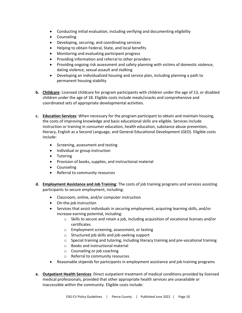- Conducting initial evaluation, including verifying and documenting eligibility
- Counseling
- Developing, securing, and coordinating services
- Helping to obtain Federal, State, and local benefits
- Monitoring and evaluating participant progress
- Providing information and referral to other providers
- Providing ongoing risk assessment and safety planning with victims of domestic violence, dating violence, sexual assault and stalking
- Developing an individualized housing and service plan, including planning a path to permanent housing stability
- **b. Childcare**: Licensed childcare for program participants with children under the age of 13, or disabled children under the age of 18. Eligible costs include meals/snacks and comprehensive and coordinated sets of appropriate developmental activities.
- **c. Education Services**: When necessary for the program participant to obtain and maintain housing, the costs of improving knowledge and basic educational skills are eligible. Services include instruction or training in consumer education, health education, substance abuse prevention, literacy, English as a Second Language, and General Educational Development (GED). Eligible costs include:
	- Screening, assessment and testing
	- Individual or group instruction
	- Tutoring
	- Provision of books, supplies, and instructional material
	- Counseling
	- Referral to community resources
- **d. Employment Assistance and Job Training**: The costs of job training programs and services assisting participants to secure employment, including:
	- Classroom, online, and/or computer instruction
	- On-the-job instruction
	- Services that assist individuals in securing employment, acquiring learning skills, and/or increase earning potential, including:
		- o Skills to secure and retain a job, including acquisition of vocational licenses and/or certificates
		- o Employment screening, assessment, or testing
		- o Structured job skills and job-seeking support
		- o Special training and tutoring, including literacy training and pre-vocational training
		- o Books and instructional material
		- o Counseling or job coaching
		- o Referral to community resources
	- Reasonable stipends for participants in employment assistance and job training programs
- **e. Outpatient Health Services**: Direct outpatient treatment of medical conditions provided by licensed medical professionals, provided that other appropriate health services are unavailable or inaccessible within the community. Eligible costs include: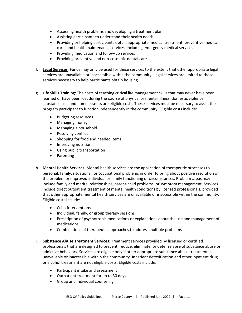- Assessing health problems and developing a treatment plan
- Assisting participants to understand their health needs
- Providing or helping participants obtain appropriate medical treatment, preventive medical care, and health maintenance services, including emergency medical services
- Providing medication and follow-up services
- Providing preventive and non-cosmetic dental care
- **f. Legal Services**: Funds may only be used for these services to the extent that other appropriate legal services are unavailable or inaccessible within the community. Legal services are limited to those services necessary to help participants obtain housing.
- **g. Life Skills Training**: The costs of teaching critical life management skills that may never have been learned or have been lost during the course of physical or mental illness, domestic violence, substance use, and homelessness are eligible costs. These services must be necessary to assist the program participant to function independently in the community. Eligible costs include:
	- Budgeting resources
	- Managing money
	- Managing a household
	- Resolving conflict
	- Shopping for food and needed items
	- Improving nutrition
	- Using public transportation
	- Parenting
- **h. Mental Health Services**: Mental health services are the application of therapeutic processes to personal, family, situational, or occupational problems in order to bring about positive resolution of the problem or improved individual or family functioning or circumstances. Problem areas may include family and marital relationships, parent-child problems, or symptom management. Services include direct outpatient treatment of mental health conditions by licensed professionals, provided that other appropriate mental health services are unavailable or inaccessible within the community. Eligible costs include:
	- Crisis interventions
	- Individual, family, or group therapy sessions
	- Prescription of psychotropic medications or explanations about the use and management of medications
	- Combinations of therapeutic approaches to address multiple problems
- **i. Substance Abuse Treatment Services**: Treatment services provided by licensed or certified professionals that are designed to prevent, reduce, eliminate, or deter relapse of substance abuse or addictive behaviors. Services are eligible only if other appropriate substance abuse treatment is unavailable or inaccessible within the community. Inpatient detoxification and other inpatient drug or alcohol treatment are not eligible costs. Eligible costs include:
	- Participant intake and assessment
	- Outpatient treatment for up to 30 days
	- Group and individual counseling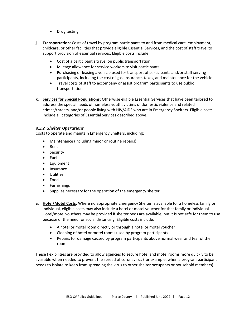- Drug testing
- **j. Transportation**: Costs of travel by program participants to and from medical care, employment, childcare, or other facilities that provide eligible Essential Services, and the cost of staff travel to support provision of essential services. Eligible costs include:
	- Cost of a participant's travel on public transportation
	- Mileage allowance for service workers to visit participants
	- Purchasing or leasing a vehicle used for transport of participants and/or staff serving participants, including the cost of gas, insurance, taxes, and maintenance for the vehicle
	- Travel costs of staff to accompany or assist program participants to use public transportation
- **k. Services for Special Populations**: Otherwise eligible Essential Services that have been tailored to address the special needs of homeless youth, victims of domestic violence and related crimes/threats, and/or people living with HIV/AIDS who are in Emergency Shelters. Eligible costs include all categories of Essential Services described above.

#### *4.2.2 Shelter Operations*

Costs to operate and maintain Emergency Shelters, including:

- Maintenance (including minor or routine repairs)
- Rent
- Security
- Fuel
- Equipment
- Insurance
- Utilities
- Food
- Furnishings
- Supplies necessary for the operation of the emergency shelter
- **a. Hotel/Motel Costs**: Where no appropriate Emergency Shelter is available for a homeless family or individual, eligible costs may also include a hotel or motel voucher for that family or individual. Hotel/motel vouchers may be provided if shelter beds are available, but it is not safe for them to use because of the need for social distancing. Eligible costs include:
	- A hotel or motel room directly or through a hotel or motel voucher
	- Cleaning of hotel or motel rooms used by program participants
	- Repairs for damage caused by program participants above normal wear and tear of the room

These flexibilities are provided to allow agencies to secure hotel and motel rooms more quickly to be available when needed to prevent the spread of coronavirus (for example, when a program participant needs to isolate to keep from spreading the virus to other shelter occupants or household members).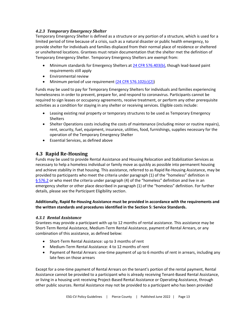#### *4.2.3 Temporary Emergency Shelter*

Temporary Emergency Shelter is defined as a structure or any portion of a structure, which is used for a limited period of time because of a crisis, such as a natural disaster or public health emergency, to provide shelter for individuals and families displaced from their normal place of residence or sheltered or unsheltered locations. Grantees must retain documentation that the shelter met the definition of Temporary Emergency Shelter. Temporary Emergency Shelters are exempt from:

- Minimum standards for Emergency Shelters at [24 CFR 576.403\(b\),](https://ecfr.federalregister.gov/current/title-24/subtitle-B/chapter-V/subchapter-C/part-576/subpart-E/section-576.403#p-576.403(b)) though lead-based paint requirements still apply
- Environmental review
- Minimum period of use requirement  $(24$  CFR 576.102(c)(2))

Funds may be used to pay for Temporary Emergency Shelters for individuals and families experiencing homelessness in order to prevent, prepare for, and respond to coronavirus. Participants cannot be required to sign leases or occupancy agreements, receive treatment, or perform any other prerequisite activities as a condition for staying in any shelter or receiving services. Eligible costs include:

- Leasing existing real property or temporary structures to be used as Temporary Emergency Shelters
- Shelter Operations costs including the costs of maintenance (including minor or routine repairs), rent, security, fuel, equipment, insurance, utilities, food, furnishings, supplies necessary for the operation of the Temporary Emergency Shelter
- Essential Services, as defined above

# <span id="page-15-0"></span>**4.3 Rapid Re-Housing**

Funds may be used to provide Rental Assistance and Housing Relocation and Stabilization Services as necessary to help a homeless individual or family move as quickly as possible into permanent housing and achieve stability in that housing. This assistance, referred to as Rapid Re-Housing Assistance, may be provided to participants who meet the criteria under paragraph (1) of the "homeless" definition in § 576.2 or who meet the criteria under paragraph (4) of the "homeless" definition and live in an emergency shelter or other place described in paragraph (1) of the "homeless" definition. For further details, please see the Participant Eligibility section.

#### **Additionally, Rapid Re-Housing Assistance must be provided in accordance with the requirements and the written standards and procedures identified in the Section 5: Service Standards.**

#### *4.3.1 Rental Assistance*

Grantees may provide a participant with up to 12 months of rental assistance. This assistance may be Short-Term Rental Assistance, Medium-Term Rental Assistance, payment of Rental Arrears, or any combination of this assistance, as defined below:

- Short-Term Rental Assistance: up to 3 months of rent
- Medium-Term Rental Assistance: 4 to 12 months of rent
- Payment of Rental Arrears: one-time payment of up to 6 months of rent in arrears, including any late fees on those arrears

Except for a one-time payment of Rental Arrears on the tenant's portion of the rental payment, Rental Assistance cannot be provided to a participant who is already receiving Tenant-Based Rental Assistance, or living in a housing unit receiving Project-Based Rental Assistance or Operating Assistance, through other public sources. Rental Assistance may not be provided to a participant who has been provided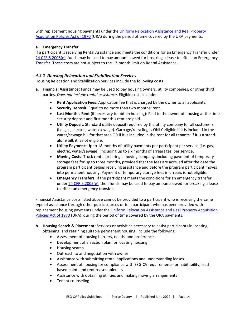with replacement housing payments under the [Uniform Relocation Assistance and Real Property](https://uscode.house.gov/view.xhtml?path=/prelim@title42/chapter61&edition=prelim)  [Acquisition Policies Act of 1970](https://uscode.house.gov/view.xhtml?path=/prelim@title42/chapter61&edition=prelim) (URA) during the period of time covered by the URA payments.

#### **a. Emergency Transfer**

If a participant is receiving Rental Assistance and meets the conditions for an Emergency Transfer under [24 CFR 5.2005\(e\),](https://ecfr.federalregister.gov/current/title-24/subtitle-A/part-5/subpart-L/section-5.2005#p-5.2005(e)) funds may be used to pay amounts owed for breaking a lease to effect an Emergency Transfer. These costs are not subject to the 12-month limit on Rental Assistance.

#### *4.3.2 Housing Relocation and Stabilization Services*

Housing Relocation and Stabilization Services include the following costs:

- **a. Financial Assistance:** Funds may be used to pay housing owners, utility companies, or other third parties. *Does not include rental assistance*. Eligible costs include:
	- **Rent Application Fees**: Application fee that is charged by the owner to all applicants.
	- **Security Deposit**: Equal to no more than two months' rent.
	- **Last Month's Rent** (if necessary to obtain housing): Paid to the owner of housing at the time security deposit and first month's rent are paid.
	- **Utility Deposit**: Standard utility deposit required by the utility company for all customers (i.e. gas, electric, water/sewage). Garbage/recycling is ONLY eligible if it is included in the water/sewage bill for that area OR if it is included in the rent for all tenants; if it is a standalone bill, it is not eligible.
	- **Utility Payment**: Up to 18 months of utility payments per participant per service (i.e. gas, electric, water/sewage), including up to six months of arrearages, per service.
	- **Moving Costs**: Truck rental or hiring a moving company, including payment of temporary storage fees for up to three months, provided that the fees are accrued after the date the program participant begins receiving assistance and before the program participant moves into permanent housing. Payment of temporary storage fees in arrears is not eligible.
	- **Emergency Transfers**: If the participant meets the conditions for an emergency transfer under [24 CFR 5.2005\(e\),](https://www.ecfr.gov/cgi-bin/text-idx?c=ecfr&sid=ce96c347060e2e521a8a83fcc2c432cf&rgn=div6&view=text&node=24:1.1.1.1.5.12&idno=24) then funds may be used to pay amounts owed for breaking a lease to effect an emergency transfer.

Financial Assistance costs listed above cannot be provided to a participant who is receiving the same type of assistance through other public sources or to a participant who has been provided with replacement housing payments under the [Uniform Relocation Assistance and Real Property Acquisition](https://uscode.house.gov/view.xhtml?path=/prelim@title42/chapter61&edition=prelim)  [Policies Act of 1970](https://uscode.house.gov/view.xhtml?path=/prelim@title42/chapter61&edition=prelim) (URA), during the period of time covered by the URA payments.

- **b. Housing Search & Placement:** Services or activities necessary to assist participants in locating, obtaining, and retaining suitable permanent housing, include the following:
	- Assessment of housing barriers, needs, and preferences
	- Development of an action plan for locating housing
	- Housing search
	- Outreach to and negotiation with owner
	- Assistance with submitting rental applications and understanding leases
	- Assessment of housing for compliance with ESG-CV requirements for habitability, leadbased paint, and rent reasonableness
	- Assistance with obtaining utilities and making moving arrangements
	- Tenant counseling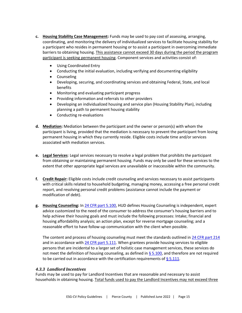- **c. Housing Stability Case Management:** Funds may be used to pay cost of assessing, arranging, coordinating, and monitoring the delivery of individualized services to facilitate housing stability for a participant who resides in permanent housing or to assist a participant in overcoming immediate barriers to obtaining housing. This assistance cannot exceed 30 days during the period the program participant is seeking permanent housing. Component services and activities consist of:
	- Using Coordinated Entry
	- Conducting the initial evaluation, including verifying and documenting eligibility
	- Counseling
	- Developing, securing, and coordinating services and obtaining Federal, State, and local benefits
	- Monitoring and evaluating participant progress
	- Providing information and referrals to other providers
	- Developing an individualized housing and service plan (Housing Stability Plan), including planning a path to permanent housing stability
	- Conducting re-evaluations
- **d. Mediation:** Mediation between the participant and the owner or person(s) with whom the participant is living, provided that the mediation is necessary to prevent the participant from losing permanent housing in which they currently reside. Eligible costs include time and/or services associated with mediation services.
- **e. Legal Services**: Legal services necessary to resolve a legal problem that prohibits the participant from obtaining or maintaining permanent housing. Funds may only be used for these services to the extent that other appropriate legal services are unavailable or inaccessible within the community.
- **f. Credit Repair:** Eligible costs include credit counseling and services necessary to assist participants with critical skills related to household budgeting, managing money, accessing a free personal credit report, and resolving personal credit problems (assistance cannot include the payment or modification of debt).
- **g. Housing Counseling:** In [24 CFR part 5.100,](https://www.ecfr.gov/cgi-bin/text-idx?rgn=div6&node=24%3A1.1.1.1.5.1&se24.1.5_1100#se24.1.5_1100) HUD defines Housing Counseling is independent, expert advice customized to the need of the consumer to address the consumer's housing barriers and to help achieve their housing goals and must include the following processes: Intake; financial and housing affordability analysis; an action plan, except for reverse mortgage counseling; and a reasonable effort to have follow-up communication with the client when possible.

The content and process of housing counseling must meet the standards outlined in [24 CFR part 214](https://www.ecfr.gov/cgi-bin/retrieveECFR?gp=&SID=2990641419ff1b643255d8a27884be44&mc=true&n=pt24.2.214&r=PART&ty=HTML) and in accordance with [24 CFR part 5.111.](https://www.law.cornell.edu/cfr/text/24/5.111) When grantees provide housing services to eligible persons that are incidental to a larger set of holistic case management services, these services do not meet the definition of housing counseling, as defined in  $\S$  5.100, and therefore are not required to be carried out in accordance with the certification requirements of  $\S$  5.111.

#### *4.3.3 Landlord Incentives*

Funds may be used to pay for Landlord Incentives that are reasonable and necessary to assist households in obtaining housing. Total funds used to pay the Landlord Incentives may not exceed three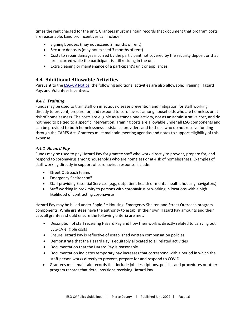times the rent charged for the unit. Grantees must maintain records that document that program costs are reasonable. Landlord Incentives can include:

- Signing bonuses (may not exceed 2 months of rent)
- Security deposits (may not exceed 3 months of rent)
- Costs to repair damages incurred by the participant not covered by the security deposit or that are incurred while the participant is still residing in the unit
- Extra cleaning or maintenance of a participant's unit or appliances

# <span id="page-18-0"></span>**4.4 Additional Allowable Activities**

Pursuant to the **ESG-CV Notice**, the following additional activities are also allowable: Training, Hazard Pay, and Volunteer Incentives.

#### *4.4.1 Training*

Funds may be used to train staff on infectious disease prevention and mitigation for staff working directly to prevent, prepare for, and respond to coronavirus among households who are homeless or atrisk of homelessness. The costs are eligible as a standalone activity, not as an administrative cost, and do not need to be tied to a specific intervention. Training costs are allowable under all ESG components and can be provided to both homelessness assistance providers and to those who do not receive funding through the CARES Act. Grantees must maintain meeting agendas and notes to support eligibility of this expense.

#### *4.4.2 Hazard Pay*

Funds may be used to pay Hazard Pay for grantee staff who work directly to prevent, prepare for, and respond to coronavirus among households who are homeless or at-risk of homelessness. Examples of staff working directly in support of coronavirus response include:

- Street Outreach teams
- Emergency Shelter staff
- Staff providing Essential Services (e.g., outpatient health or mental health, housing navigators)
- Staff working in proximity to persons with coronavirus or working in locations with a high likelihood of contracting coronavirus

Hazard Pay may be billed under Rapid Re-Housing, Emergency Shelter, and Street Outreach program components. While grantees have the authority to establish their own Hazard Pay amounts and their cap, all grantees should ensure the following criteria are met:

- Description of staff receiving Hazard Pay and how their work is directly related to carrying out ESG-CV eligible costs
- Ensure Hazard Pay is reflective of established written compensation policies
- Demonstrate that the Hazard Pay is equitably allocated to all related activities
- Documentation that the Hazard Pay is reasonable
- Documentation indicates temporary pay increases that correspond with a period in which the staff person works directly to prevent, prepare for and respond to COVID.
- Grantees must maintain records that include job descriptions, policies and procedures or other program records that detail positions receiving Hazard Pay.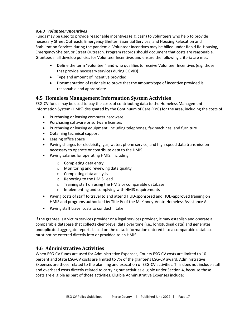#### *4.4.3 Volunteer Incentives*

Funds may be used to provide reasonable incentives (e.g. cash) to volunteers who help to provide necessary Street Outreach, Emergency Shelter, Essential Services, and Housing Relocation and Stabilization Services during the pandemic. Volunteer Incentives may be billed under Rapid Re-Housing, Emergency Shelter, or Street Outreach. Program records should document that costs are reasonable. Grantees shall develop policies for Volunteer Incentives and ensure the following criteria are met:

- Define the term "volunteer" and who qualifies to receive Volunteer Incentives (e.g. those that provide necessary services during COVID)
- Type and amount of incentive provided
- Documentation of rationale to prove that the amount/type of incentive provided is reasonable and appropriate

# <span id="page-19-0"></span>**4.5 Homeless Management Information System Activities**

ESG-CV funds may be used to pay the costs of contributing data to the Homeless Management Information System (HMIS) designated by the Continuum of Care (CoC) for the area, including the costs of:

- Purchasing or leasing computer hardware
- Purchasing software or software licenses
- Purchasing or leasing equipment, including telephones, fax machines, and furniture
- Obtaining technical support
- Leasing office space
- Paying charges for electricity, gas, water, phone service, and high-speed data transmission necessary to operate or contribute data to the HMIS
- Paying salaries for operating HMIS, including:
	- o Completing data entry
	- o Monitoring and reviewing data quality
	- o Completing data analysis
	- o Reporting to the HMIS Lead
	- o Training staff on using the HMIS or comparable database
	- o Implementing and complying with HMIS requirements
- Paying costs of staff to travel to and attend HUD-sponsored and HUD-approved training on HMIS and programs authorized by Title IV of the McKinney-Vento Homeless Assistance Act
- Paying staff travel costs to conduct intake

If the grantee is a victim services provider or a legal services provider, it may establish and operate a comparable database that collects client-level data over time (i.e., longitudinal data) and generates unduplicated aggregate reports based on the data. Information entered into a comparable database must not be entered directly into or provided to an HMIS.

# <span id="page-19-1"></span>**4.6 Administrative Activities**

When ESG-CV funds are used for Administrative Expenses, County ESG-CV costs are limited to 10 percent and State ESG-CV costs are limited to 7% of the grantee's ESG-CV award. Administrative Expenses are those related to the planning and execution of ESG-CV activities. This does not include staff and overhead costs directly related to carrying out activities eligible under Section 4, because those costs are eligible as part of those activities. Eligible Administrative Expenses include: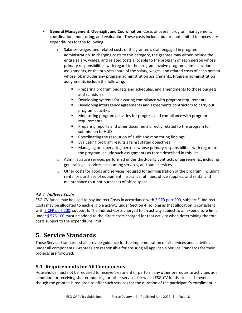- **General Management, Oversight and Coordination**: Costs of overall program management, coordination, monitoring, and evaluation. These costs include, but are not limited to, necessary expenditures for the following:
	- o Salaries, wages, and related costs of the grantee's staff engaged in program administration. In charging costs to this category, the grantee may either include the entire salary, wages, and related costs allocable to the program of each person whose primary responsibilities with regard to the program involve program administration assignments, or the pro rata share of the salary, wages, and related costs of each person whose job includes any program administration assignments. Program administration assignments include the following:
		- Preparing program budgets and schedules, and amendments to those budgets and schedules
		- Developing systems for assuring compliance with program requirements
		- Developing interagency agreements and agreements contractors to carry out program activities
		- Monitoring program activities for progress and compliance with program requirements
		- **•** Preparing reports and other documents directly related to the program for submission to HUD
		- Coordinating the resolution of audit and monitoring findings
		- Evaluating program results against stated objectives
		- Managing or supervising persons whose primary responsibilities with regard to the program include such assignments as those described in this list
	- $\circ$  Administrative services performed under third-party contracts or agreements, including general legal services, accounting services, and audit services
	- $\circ$  Other costs for goods and services required for administration of the program, including rental or purchase of equipment, insurance, utilities, office supplies, and rental and maintenance (but not purchase) of office space

#### *4.6.1 Indirect Costs*

ESG-CV funds may be used to pay Indirect Costs in accordance wit[h 2 CFR part 200,](https://ecfr.federalregister.gov/current/title-24/subtitle-B/chapter-II/subchapter-A/part-200) subpart E. Indirect Costs may be allocated to each eligible activity under Section 4, so long as that allocation is consistent with [2 CFR part 200,](https://ecfr.federalregister.gov/current/title-24/subtitle-B/chapter-II/subchapter-A/part-200) subpart E. The Indirect Costs charged to an activity subject to an expenditure limit under  $\S$  576.100 must be added to the direct costs charged for that activity when determining the total costs subject to the expenditure limit.

# <span id="page-20-0"></span>**5. Service Standards**

These Service Standards shall provide guidance for the implementation of all services and activities under all components. Grantees are responsible for ensuring all applicable Service Standards for their projects are followed.

# <span id="page-20-1"></span>**5.1 Requirements for All Components**

Households must not be required to receive treatment or perform any other prerequisite activities as a condition for receiving shelter, housing, or other services for which ESG-CV funds are used – even though the grantee is required to offer such services for the duration of the participant's enrollment in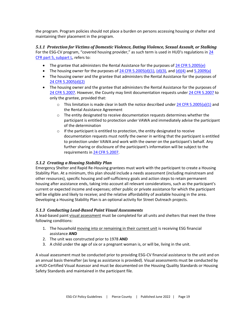the program. Program policies should not place a burden on persons accessing housing or shelter and maintaining their placement in the program.

#### *5.1.1 Protection for Victims of Domestic Violence, Dating Violence, Sexual Assault, or Stalking* For the ESG-CV program, "covered housing provider," as such term is used in HUD's regulations in 24 [CFR part 5, subpart L,](https://ecfr.federalregister.gov/current/title-24/subtitle-A/part-5/subpart-L/section-5.2005) refers to:

- The grantee that administers the Rental Assistance for the purposes of [24 CFR 5.2005\(e\)](https://ecfr.federalregister.gov/current/title-24/subtitle-A/part-5/subpart-L/section-5.2005#p-5.2005(e))
- The housing owner for the purposes of [24 CFR 5.2005\(d\)\(1\),](https://ecfr.federalregister.gov/current/title-24/subtitle-A/part-5/subpart-L/section-5.2005#p-5.2005(d)(1)) [\(d\)\(3\),](https://ecfr.federalregister.gov/current/title-24/subtitle-A/part-5/subpart-L/section-5.2005#p-5.2005(d)(3)) and [\(d\)\(4\)](https://ecfr.federalregister.gov/current/title-24/subtitle-A/part-5/subpart-L/section-5.2005#p-5.2005(d)(4)) an[d 5.2009\(a\)](https://ecfr.federalregister.gov/current/title-24/subtitle-A/part-5/subpart-L/section-5.2009#p-5.2009(a))
- The housing owner and the grantee that administers the Rental Assistance for the purposes of [24 CFR 5.2005\(d\)\(2\)](https://ecfr.federalregister.gov/current/title-24/subtitle-A/part-5/subpart-L/section-5.2005#p-5.2005(d)(2))
- The housing owner and the grantee that administers the Rental Assistance for the purposes of [24 CFR 5.2007.](https://ecfr.federalregister.gov/current/title-24/subtitle-A/part-5/subpart-L/section-5.2007) However, the County may limit documentation requests under [24 CFR 5.2007](https://ecfr.federalregister.gov/current/title-24/subtitle-A/part-5/subpart-L/section-5.2007) to only the grantee, provided that:
	- $\circ$  This limitation is made clear in both the notice described unde[r 24 CFR 5.2005\(a\)\(1\)](https://ecfr.federalregister.gov/current/title-24/subtitle-A/part-5/subpart-L/section-5.2005#p-5.2005(a)(1)) and the Rental Assistance Agreement
	- o The entity designated to receive documentation requests determines whether the participant is entitled to protection under VAWA and immediately advise the participant of the determination
	- $\circ$  If the participant is entitled to protection, the entity designated to receive documentation requests must notify the owner in writing that the participant is entitled to protection under VAWA and work with the owner on the participant's behalf. Any further sharing or disclosure of the participant's information will be subject to the requirements in [24 CFR 5.2007.](https://ecfr.federalregister.gov/current/title-24/subtitle-A/part-5/subpart-L/section-5.2007)

#### *5.1.2 Creating a Housing Stability Plan*

Emergency Shelter and Rapid Re-Housing grantees must work with the participant to create a Housing Stability Plan. At a minimum, this plan should include a needs assessment (including mainstream and other resources), specific housing and self-sufficiency goals and action steps to retain permanent housing after assistance ends, taking into account all relevant considerations, such as the participant's current or expected income and expenses; other public or private assistance for which the participant will be eligible and likely to receive; and the relative affordability of available housing in the area. Developing a Housing Stability Plan is an optional activity for Street Outreach projects.

#### *5.1.3 Conducting Lead-Based Paint Visual Assessments*

A lead‐based paint visual assessment must be completed for all units and shelters that meet the three following conditions:

- 1. The household moving into or remaining in their current unit is receiving ESG financial assistance **AND**
- 2. The unit was constructed prior to 1978 **AND**
- 3. A child under the age of six or a pregnant woman is, or will be, living in the unit.

A visual assessment must be conducted prior to providing ESG-CV financial assistance to the unit and on an annual basis thereafter (as long as assistance is provided). Visual assessments must be conducted by a HUD‐Certified Visual Assessor and must be documented on the Housing Quality Standards or Housing Safety Standards and maintained in the participant file.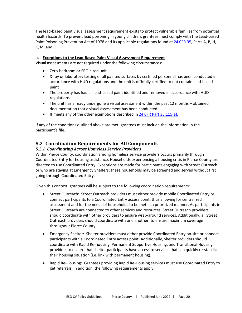The lead‐based paint visual assessment requirement exists to protect vulnerable families from potential health hazards. To prevent lead poisoning in young children, grantees must comply with the Lead-based Paint Poisoning Prevention Act of 1978 and its applicable regulations found at [24 CFR 35,](https://ecfr.federalregister.gov/current/title-24/subtitle-A/part-35) Parts A, B, H, J, K, M, and R.

#### **a. Exceptions to the Lead-Based Paint Visual Assessment Requirement**

Visual assessments are not required under the following circumstances:

- Zero-bedroom or SRO-sized unit
- X-ray or laboratory testing of all painted surfaces by certified personnel has been conducted in accordance with HUD regulations and the unit is officially certified to not contain lead‐based paint
- The property has had all lead‐based paint identified and removed in accordance with HUD regulations
- The unit has already undergone a visual assessment within the past 12 months obtained documentation that a visual assessment has been conducted
- It meets any of the other exemptions described i[n 24 CFR Part 35.115\(a\).](http://www.google.com/url?sa=t&rct=j&q=24%20cfr%20part%2035.115(a)&source=web&cd=2&ved=0CCcQFjAB&url=http%3A%2F%2Fportal.hud.gov%2Fhudportal%2Fdocuments%2Fhuddoc%3Fid%3DDOC_12311.pdf&ei=t74uUOeeEIrE2QXEkoDgBA&usg=AFQjCNG8jCdVGGXb-DlAjTeHkx5C6m9tbA)

If any of the conditions outlined above are met, grantees must include the information in the participant's file.

# <span id="page-22-0"></span>**5.2 Coordination Requirements for All Components**

#### *5.2.1 Coordinating Across Homeless Service Providers*

Within Pierce County, coordination among homeless service providers occurs primarily through Coordinated Entry for housing assistance. Households experiencing a housing crisis in Pierce County are directed to use Coordinated Entry. Exceptions are made for participants engaging with Street Outreach or who are staying at Emergency Shelters; these households may be screened and served without first going through Coordinated Entry.

Given this context, grantees will be subject to the following coordination requirements:

- Street Outreach: Street Outreach providers must either provide mobile Coordinated Entry or connect participants to a Coordinated Entry access point, thus allowing for centralized assessment and for the needs of households to be met in a prioritized manner. As participants in Street Outreach are connected to other services and resources, Street Outreach providers should coordinate with other providers to ensure wrap-around services. Additionally, all Street Outreach providers should coordinate with one another, to ensure maximum coverage throughout Pierce County.
- Emergency Shelter: Shelter providers must either provide Coordinated Entry on-site or connect participants with a Coordinated Entry access point. Additionally, Shelter providers should coordinate with Rapid Re-housing, Permanent Supportive Housing, and Transitional Housing providers to ensure that shelter participants have access to services that can quickly re-stabilize their housing situation (i.e. link with permanent housing).
- Rapid Re-Housing: Grantees providing Rapid Re-Housing services must use Coordinated Entry to get referrals. In addition, the following requirements apply: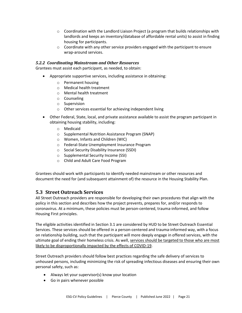- $\circ$  Coordination with the Landlord Liaison Project (a program that builds relationships with landlords and keeps an inventory/database of affordable rental units) to assist in finding housing for participants.
- $\circ$  Coordinate with any other service providers engaged with the participant to ensure wrap-around services.

#### *5.2.2 Coordinating Mainstream and Other Resources*

Grantees must assist each participant, as needed, to obtain:

- Appropriate supportive services, including assistance in obtaining:
	- o Permanent housing
	- o Medical health treatment
	- o Mental health treatment
	- o Counseling
	- o Supervision
	- o Other services essential for achieving independent living
- Other Federal, State, local, and private assistance available to assist the program participant in obtaining housing stability, including:
	- o Medicaid
	- o Supplemental Nutrition Assistance Program (SNAP)
	- o Women, Infants and Children (WIC)
	- o Federal-State Unemployment Insurance Program
	- o Social Security Disability Insurance (SSDI)
	- o Supplemental Security Income (SSI)
	- o Child and Adult Care Food Program

Grantees should work with participants to identify needed mainstream or other resources and document the need for (and subsequent attainment of) the resource in the Housing Stability Plan.

#### <span id="page-23-0"></span>**5.3 Street Outreach Services**

All Street Outreach providers are responsible for developing their own procedures that align with the policy in this section and describes how the project prevents, prepares for, and/or responds to coronavirus. At a minimum, these policies must be person-centered, trauma-informed, and follow Housing First principles.

The eligible activities identified in Section 3.1 are considered by HUD to be Street Outreach Essential Services. These services should be offered in a person-centered and trauma-informed way, with a focus on relationship building, such that the participant will more deeply engage in offered services, with the ultimate goal of ending their homeless crisis. As well, services should be targeted to those who are most likely to be disproportionally impacted by the effects of COVID-19.

Street Outreach providers should follow best practices regarding the safe delivery of services to unhoused persons, including minimizing the risk of spreading infectious diseases and ensuring their own personal safety, such as:

- Always let your supervisor(s) know your location
- Go in pairs whenever possible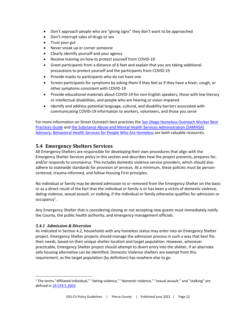- Don't approach people who are "giving signs" they don't want to be approached
- Don't interrupt sales of drugs or sex
- Trust your gut
- Never sneak up or corner someone
- Clearly identify yourself and your agency
- Receive training on how to protect yourself from COVID-19
- Greet participants from a distance of 6 feet and explain that you are taking additional precautions to protect yourself and the participants from COVID-19
- Provide masks to participants who do not have one
- Screen participants for symptoms by asking them if they feel as if they have a fever, cough, or other [symptoms consistent with COVID-19](https://www.cdc.gov/coronavirus/2019-ncov/symptoms-testing/symptoms.html)
- Provide educational materials about COVID-19 for [non-English speakers,](https://wwwn.cdc.gov/pubs/other-languages?Sort=Lang%3A%3Aasc&includes=function(a)%7B%22use%20strict%22%3Bvar%20b%3DObject(this)%2Cc%3DparseInt(b.length%2C10)%7C%7C0%3Bif(0%3D%3D%3Dc)return!1%3Bvar%20d%2Ce%3DparseInt(arguments%5B1%5D%2C10)%7C%7C0%3Be%3E%3D0%3Fd%3De%3A(d%3Dc%2Be)%3C0%26%26(d%3D0)%3Bfor(var%20f%3Bd%3Cc%3B)%7Bif(f%3Db%5Bd%5D%2Ca%3D%3D%3Df%7C%7Ca!%3D%3Da%26%26f!%3D%3Df)return!0%3Bd%2B%2B%7Dreturn!1%7D) those with low literacy or intellectual disabilities, and people who are hearing or vision impaired
- Identify and address potential language, cultural, and disability barriers associated with communicating COVID-19 information to workers, volunteers, and those you serve

For more information on Street Outreach best practices the [San Diego Homeless Outreach Worker Best](https://www.sandiegocounty.gov/content/dam/sdc/hhsa/programs/bhs/TRL/TRL%20Section%202/HOW_BestPractices.pdf)  [Practices Guide](https://www.sandiegocounty.gov/content/dam/sdc/hhsa/programs/bhs/TRL/TRL%20Section%202/HOW_BestPractices.pdf) and [the Substance Abuse and Mental Health Services Administration \(SAMHSA\)](https://store.samhsa.gov/sites/default/files/SAMHSA_Digital_Download/PEP20-06-04-003.pdf)  [Advisory: Behavioral Health Services for People Who Are Homeless](https://store.samhsa.gov/sites/default/files/SAMHSA_Digital_Download/PEP20-06-04-003.pdf) are both valuable resources.

# <span id="page-24-0"></span>**5.4 Emergency Shelters Services**

All Emergency Shelters are responsible for developing their own procedures that align with the Emergency Shelter Services policy in this section and describes how the project prevents, prepares for, and/or responds to coronavirus. This includes domestic violence service providers, which should also adhere to statewide standards for provision of services. At a minimum, these policies must be personcentered, trauma-informed, and follow Housing First principles.

No individual or family may be denied admission to or removed from the Emergency Shelter on the basis or as a direct result of the fact that the individual or family is or has been a victim of domestic violence, dating violence, sexual assault, or stalking, if the individual or family otherwise qualifies for admission or occupancy<sup>1</sup>.

Any Emergency Shelter that is considering closing or not accepting new guests must immediately notify the County, the public health authority, and emergency management officials.

#### *5.4.1 Admission & Diversion*

As indicated in Section 4.2, households with any homeless status may enter into an Emergency Shelter project. Emergency Shelter projects should manage the admission process in such a way that best fits their needs, based on their unique shelter location and target population. However, whenever practicable, Emergency Shelter project should attempt to divert entry into the shelter, if an alternate safe housing alternative can be identified. Domestic Violence shelters are exempt from this requirement, as the target population (by definition) has nowhere else to go.

 $1$  The terms "affiliated individual," "dating violence," "domestic violence," "sexual assault," and "stalking" are defined in [24 CFR 5.2003.](https://ecfr.federalregister.gov/current/title-24/subtitle-A/part-5/subpart-L/section-5.2003)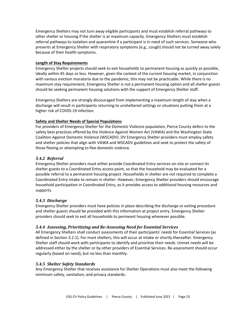Emergency Shelters may not turn away eligible participants and must establish referral pathways to other shelter or housing if the shelter is at maximum capacity. Emergency Shelters must establish referral pathways to isolation and quarantine if a participant is in need of such services. Someone who presents at Emergency Shelter with respiratory symptoms (e.g., cough) should not be turned away solely because of their health symptoms.

#### **Length of Stay Requirements**

Emergency Shelter projects should seek to exit households to permanent housing as quickly as possible, ideally within 45 days or less. However, given the context of the current housing market, in conjunction with various eviction moratoria due to the pandemic, this may not be practicable. While there is no maximum stay requirement, Emergency Shelter is not a permanent housing option and all shelter guests should be seeking permanent housing solutions with the support of Emergency Shelter staff.

Emergency Shelters are strongly discouraged from implementing a maximum length of stay when a discharge will result in participants returning to unsheltered settings or situations putting them at a higher risk of COVID-19 infection.

#### **Safety and Shelter Needs of Special Populations**

For providers of Emergency Shelter for the Domestic Violence population, Pierce County defers to the safety best practices offered by the Violence Against Women Act (VAWA) and the Washington State Coalition Against Domestic Violence (WSCADV). DV Emergency Shelter providers must employ safety and shelter policies that align with VAWA and WSCADV guidelines and seek to protect the safety of those fleeing or attempting to flee domestic violence.

#### *5.4.2 Referral*

Emergency Shelter providers must either provide Coordinated Entry services on-site or connect its shelter guests to a Coordinated Entry access point, so that the household may be evaluated for a possible referral to a permanent housing project. Households in shelter are not required to complete a Coordinated Entry intake to remain in shelter. However, Emergency Shelter providers should encourage household participation in Coordinated Entry, as it provides access to additional housing resources and supports.

#### *5.4.3 Discharge*

Emergency Shelter providers must have policies in place describing the discharge or exiting procedure and shelter guests should be provided with this information at project entry. Emergency Shelter providers should seek to exit all households to permeant housing whenever possible.

#### *5.4.4 Assessing, Prioritizing and Re-Assessing Need for Essential Services*

All Emergency Shelters shall conduct assessments of their participants' needs for Essential Services (as defined in Section 3.2.1). For most shelters, this will occur at intake or shortly thereafter. Emergency Shelter staff should work with participants to identify and prioritize their needs. Unmet needs will be addressed either by the shelter or by other providers of Essential Services. Re-assessment should occur regularly (based on need), but no less than monthly.

#### *5.4.5 Shelter Safety Standards*

Any Emergency Shelter that receives assistance for Shelter Operations must also meet the following minimum safety, sanitation, and privacy standards: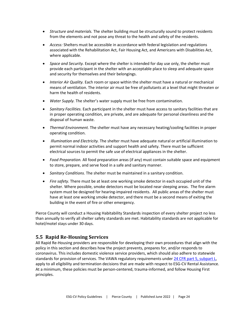- *Structure and materials.* The shelter building must be structurally sound to protect residents from the elements and not pose any threat to the health and safety of the residents.
- *Access:* Shelters must be accessible in accordance with federal legislation and regulations associated with the Rehabilitation Act, Fair Housing Act, and Americans with Disabilities Act, where applicable.
- *Space and Security.* Except where the shelter is intended for day use only, the shelter must provide each participant in the shelter with an acceptable place to sleep and adequate space and security for themselves and their belongings.
- *Interior Air Quality.* Each room or space within the shelter must have a natural or mechanical means of ventilation. The interior air must be free of pollutants at a level that might threaten or harm the health of residents.
- *Water Supply.* The shelter's water supply must be free from contamination.
- *Sanitary Facilities.* Each participant in the shelter must have access to sanitary facilities that are in proper operating condition, are private, and are adequate for personal cleanliness and the disposal of human waste.
- *Thermal Environment.* The shelter must have any necessary heating/cooling facilities in proper operating condition.
- *Illumination and Electricity.* The shelter must have adequate natural or artificial illumination to permit normal indoor activities and support health and safety. There must be sufficient electrical sources to permit the safe use of electrical appliances in the shelter.
- *Food Preparation.* All food preparation areas (if any) must contain suitable space and equipment to store, prepare, and serve food in a safe and sanitary manner.
- *Sanitary Conditions.* The shelter must be maintained in a sanitary condition.
- *Fire safety.* There must be at least one working smoke detector in each occupied unit of the shelter. Where possible, smoke detectors must be located near sleeping areas. The fire alarm system must be designed for hearing-impaired residents. All public areas of the shelter must have at least one working smoke detector, and there must be a second means of exiting the building in the event of fire or other emergency.

Pierce County will conduct a Housing Habitability Standards inspection of every shelter project no less than annually to verify all shelter safety standards are met. Habitability standards are not applicable for hotel/motel stays under 30 days.

# <span id="page-26-0"></span>**5.5 Rapid Re-Housing Services**

All Rapid Re-Housing providers are responsible for developing their own procedures that align with the policy in this section and describes how the project prevents, prepares for, and/or responds to coronavirus. This includes domestic violence service providers, which should also adhere to statewide standards for provision of services. The VAWA regulatory requirements unde[r 24 CFR part 5, subpart L,](https://ecfr.federalregister.gov/current/title-24/subtitle-A/part-5/subpart-L/section-5.2005) apply to all eligibility and termination decisions that are made with respect to ESG-CV Rental Assistance. At a minimum, these policies must be person-centered, trauma-informed, and follow Housing First principles.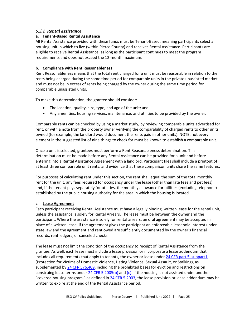#### *5.5.1 Rental Assistance*

#### **a. Tenant-Based Rental Assistance**

All Rental Assistance provided with these funds must be Tenant-Based, meaning participants select a housing unit in which to live (within Pierce County) and receives Rental Assistance. Participants are eligible to receive Rental Assistance, as long as the participant continues to meet the program requirements and does not exceed the 12-month maximum.

#### **b. Compliance with Rent Reasonableness**

Rent Reasonableness means that the total rent charged for a unit must be reasonable in relation to the rents being charged during the same time period for comparable units in the private unassisted market and must not be in excess of rents being charged by the owner during the same time period for comparable unassisted units.

To make this determination, the grantee should consider:

- The location, quality, size, type, and age of the unit; and
- Any amenities, housing services, maintenance, and utilities to be provided by the owner.

Comparable rents can be checked by using a market study, by reviewing comparable units advertised for rent, or with a note from the property owner verifying the comparability of charged rents to other units owned (for example, the landlord would document the rents paid in other units). NOTE: not every element in the suggested list of nine things to check for must be known to establish a comparable unit.

Once a unit is selected, grantees must perform a Rent Reasonableness determination. This determination must be made before any Rental Assistance can be provided for a unit and before entering into a Rental Assistance Agreement with a landlord. Participant files shall include a printout of at least three comparable unit rents, and evidence that these comparison units share the same features.

For purposes of calculating rent under this section, the rent shall equal the sum of the total monthly rent for the unit, any fees required for occupancy under the lease (other than late fees and pet fees) and, if the tenant pays separately for utilities, the monthly allowance for utilities (excluding telephone) established by the public housing authority for the area in which the housing is located.

#### **c. Lease Agreement**

Each participant receiving Rental Assistance must have a legally binding, written lease for the rental unit, unless the assistance is solely for Rental Arrears. The lease must be between the owner and the participant. Where the assistance is solely for rental arrears, an oral agreement may be accepted in place of a written lease, if the agreement gives the participant an enforceable leasehold interest under state law and the agreement and rent owed are sufficiently documented by the owner's financial records, rent ledgers, or canceled checks.

The lease must not limit the condition of the occupancy to receipt of Rental Assistance from the grantee. As well, each lease must include a lease provision or incorporate a lease addendum that includes all requirements that apply to tenants, the owner or lease unde[r 24 CFR part 5, subpart L](https://ecfr.federalregister.gov/current/title-24/subtitle-A/part-5/subpart-L/section-5.2005) (Protection for Victims of Domestic Violence, Dating Violence, Sexual Assault, or Stalking), as supplemented b[y 24 CFR 576.409,](https://ecfr.federalregister.gov/current/title-24/subtitle-B/chapter-V/subchapter-C/part-576/subpart-E/section-576.409) including the prohibited bases for eviction and restrictions on construing lease terms under  $24$  CFR 5.2005(b) and [\(c\).](https://ecfr.federalregister.gov/current/title-24/subtitle-A/part-5/subpart-L/section-5.2005#p-5.2005(c)) If the housing is not assisted under another "covered housing program," as defined in [24 CFR 5.2003,](https://ecfr.federalregister.gov/current/title-24/subtitle-A/part-5/subpart-L/section-5.2003) the lease provision or lease addendum may be written to expire at the end of the Rental Assistance period.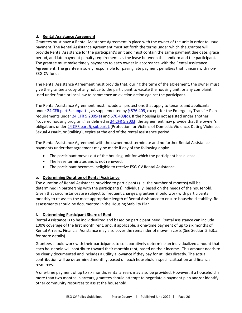#### **d. Rental Assistance Agreement**

Grantees must have a Rental Assistance Agreement in place with the owner of the unit in order to issue payment. The Rental Assistance Agreement must set forth the terms under which the grantee will provide Rental Assistance for the participant's unit and must contain the same payment due date, grace period, and late payment penalty requirements as the lease between the landlord and the participant. The grantee must make timely payments to each owner in accordance with the Rental Assistance Agreement. The grantee is solely responsible for paying late payment penalties that it incurs with non-ESG-CV funds.

The Rental Assistance Agreement must provide that, during the term of the agreement, the owner must give the grantee a copy of any notice to the participant to vacate the housing unit, or any complaint used under State or local law to commence an eviction action against the participant.

The Rental Assistance Agreement must include all protections that apply to tenants and applicants under  $24$  CFR part 5, subpart L, as supplemented by § 576.409, except for the Emergency Transfer Plan requirements unde[r 24 CFR 5.2005\(e\)](https://ecfr.federalregister.gov/current/title-24/subtitle-A/part-5/subpart-L/section-5.2005#p-5.2005(e)) and [576.409\(d\).](https://ecfr.federalregister.gov/current/title-24/subtitle-B/chapter-V/subchapter-C/part-576/subpart-E/section-576.409#p-576.409(d)) If the housing is not assisted under another "covered housing program," as defined in [24 CFR 5.2003,](https://ecfr.federalregister.gov/current/title-24/subtitle-A/part-5/subpart-L/section-5.2003) the agreement may provide that the owner's obligations under [24 CFR part 5, subpart L](https://ecfr.federalregister.gov/current/title-24/subtitle-A/part-5/subpart-L/section-5.2005) (Protection for Victims of Domestic Violence, Dating Violence, Sexual Assault, or Stalking), expire at the end of the rental assistance period.

The Rental Assistance Agreement with the owner must terminate and no further Rental Assistance payments under that agreement may be made if any of the following apply:

- The participant moves out of the housing unit for which the participant has a lease.
- The lease terminates and is not renewed.
- The participant becomes ineligible to receive ESG-CV Rental Assistance.

#### **e. Determining Duration of Rental Assistance**

The duration of Rental Assistance provided to participants (i.e. the number of months) will be determined in partnership with the participant(s) individually, based on the needs of the household. Given that circumstances are subject to frequent changes, grantees should work with participants monthly to re-assess the most appropriate length of Rental Assistance to ensure household stability. Reassessments should be documented in the Housing Stability Plan.

#### **f. Determining Participant Share of Rent**

Rental Assistance is to be individualized and based on participant need. Rental Assistance can include 100% coverage of the first month rent, and, if applicable, a one-time payment of up to six months of Rental Arrears. Financial Assistance may also cover the remainder of move-in costs (See Section 5.5.3.a. for more details).

Grantees should work with their participants to collaboratively determine an individualized amount that each household will contribute toward their monthly rent, based on their income. This amount needs to be clearly documented and includes a utility allowance if they pay for utilities directly. The actual contribution will be determined monthly, based on each household's specific situation and financial resources.

A one-time payment of up to six months rental arrears may also be provided. However, if a household is more than two months in arrears, grantees should attempt to negotiate a payment plan and/or identify other community resources to assist the household.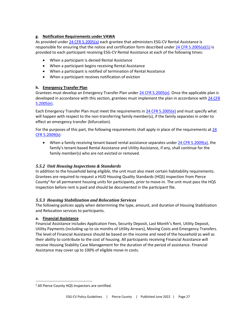#### **g. Notification Requirements under VAWA**

As provided unde[r 24 CFR 5.2005\(a\)](https://ecfr.federalregister.gov/current/title-24/subtitle-A/part-5/subpart-L/section-5.2005#p-5.2005(a)) each grantee that administers ESG-CV Rental Assistance is responsible for ensuring that the notice and certification form described under  $24$  CFR 5.2005(a)(1) is provided to each participant receiving ESG-CV Rental Assistance at each of the following times:

- When a participant is denied Rental Assistance
- When a participant begins receiving Rental Assistance
- When a participant is notified of termination of Rental Assistance
- When a participant receives notification of eviction

#### **h. Emergency Transfer Plan**

Grantees must develop an Emergency Transfer Plan unde[r 24 CFR 5.2005\(e\).](https://ecfr.federalregister.gov/current/title-24/subtitle-A/part-5/subpart-L/section-5.2005#p-5.2005(e)) Once the applicable plan is developed in accordance with this section, grantees must implement the plan in accordance with [24 CFR](https://ecfr.federalregister.gov/current/title-24/subtitle-A/part-5/subpart-L/section-5.2005#p-5.2005(e))  [5.2005\(e\).](https://ecfr.federalregister.gov/current/title-24/subtitle-A/part-5/subpart-L/section-5.2005#p-5.2005(e))

Each Emergency Transfer Plan must meet the requirements in [24 CFR 5.2005\(e\)](https://ecfr.federalregister.gov/current/title-24/subtitle-A/part-5/subpart-L/section-5.2005#p-5.2005(e)) and must specify what will happen with respect to the non-transferring family member(s), if the family separates in order to effect an emergency transfer (bifurcation).

For the purposes of this part, the following requirements shall apply in place of the requirements at  $24$ [CFR 5.2009\(b\):](https://ecfr.federalregister.gov/current/title-24/subtitle-A/part-5/subpart-L/section-5.2009#p-5.2009(b))

• When a family receiving tenant-based rental assistance separates under [24 CFR 5.2009\(a\),](https://ecfr.federalregister.gov/current/title-24/subtitle-A/part-5/subpart-L/section-5.2009#p-5.2009(a)) the family's tenant-based Rental Assistance and Utility Assistance, if any, shall continue for the family member(s) who are not evicted or removed.

#### *5.5.2 Unit Housing Inspections & Standards*

In addition to the household being eligible, the unit must also meet certain habitability requirements. Grantees are required to request a HUD Housing Quality Standards (HQS) inspection from Pierce County<sup>2</sup> for all permanent housing units for participants, prior to move-in. The unit must pass the HQS inspection before rent is paid and should be documented in the participant file.

#### *5.5.3 Housing Stabilization and Relocation Services*

The following policies apply when determining the type, amount, and duration of Housing Stabilization and Relocation services to participants.

#### **a. Financial Assistance**

Financial Assistance includes Application Fees, Security Deposit, Last Month's Rent, Utility Deposit, Utility Payments (including up to six months of Utility Arrears), Moving Costs and Emergency Transfers. The level of Financial Assistance should be based on the income and need of the household as well as their ability to contribute to the cost of housing. All participants receiving Financial Assistance will receive Housing Stability Case Management for the duration of the period of assistance. Financial Assistance may cover up to 100% of eligible move-in costs.

<sup>&</sup>lt;sup>2</sup> All Pierce County HQS Inspectors are certified.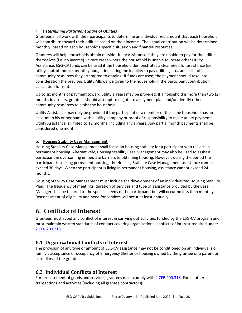#### *i. Determining Participant Share of Utilities*

Grantees shall work with their participants to determine an individualized amount that each household will contribute toward their utilities based on their income. The actual contribution will be determined monthly, based on each household's specific situation and financial resources.

Grantees will help households obtain outside Utility Assistance if they are unable to pay for the utilities themselves (i.e. no income). In rare cases where the household is unable to locate other Utility Assistance, ESG-CV funds can be used if the household demonstrates a clear need for assistance (i.e. utility shut-off notice, monthly budget indicating the inability to pay utilities, etc., and a list of community resources they attempted to obtain). If funds are used, the payment should take into consideration the previous Utility Allowance given to the household in the participant contribution calculation for rent.

Up to six months of payment toward utility arrears may be provided. If a household is more than two (2) months in arrears, grantees should attempt to negotiate a payment plan and/or identify other community resources to assist the household.

Utility Assistance may only be provided if the participant or a member of the same household has an account in his or her name with a utility company or proof of responsibility to make utility payments. Utility Assistance is limited to 12 months, including any arrears. Any partial month payments shall be considered one month.

#### **b. Housing Stability Case Management**

Housing Stability Case Management shall focus on housing stability for a participant who resides in permanent housing. Alternatively, Housing Stability Case Management may also be used to assist a participant in overcoming immediate barriers to obtaining housing. However, during the period the participant is seeking permanent housing, the Housing Stability Case Management assistance cannot exceed 30 days. When the participant is living in permanent housing, assistance cannot exceed 24 months.

Housing Stability Case Management must include the development of an individualized Housing Stability Plan. The frequency of meetings, duration of services and type of assistance provided by the Case Manager shall be tailored to the specific needs of the participant, but will occur no less than monthly. Reassessment of eligibility and need for services will occur at least annually.

# <span id="page-30-0"></span>**6. Conflicts of Interest**

Grantees must avoid any conflict of interest in carrying out activities funded by the ESG-CV program and must maintain written standards of conduct covering organizational conflicts of interest required under [2 CFR 200.318.](https://ecfr.federalregister.gov/current/title-2/subtitle-A/chapter-II/part-200/subpart-D/subject-group-ECFR8feb98c2e3e5ad2/section-200.318)

# <span id="page-30-1"></span>**6.1 Organizational Conflicts of Interest**

The provision of any type or amount of ESG-CV assistance may not be conditioned on an individual's or family's acceptance or occupancy of Emergency Shelter or housing owned by the grantee or a parent or subsidiary of the grantee.

# <span id="page-30-2"></span>**6.2 Individual Conflicts of Interest**

For procurement of goods and services, grantees must comply wit[h 2 CFR 200.318.](https://ecfr.federalregister.gov/current/title-2/subtitle-A/chapter-II/part-200/subpart-D/subject-group-ECFR8feb98c2e3e5ad2/section-200.318) For all other transactions and activities (including all grantee contractors):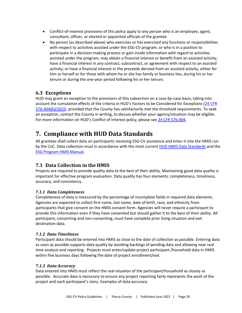- Conflict-of-interest provisions of this policy apply to any person who is an employee, agent, consultant, officer, or elected or appointed officials of the grantee.
- No person (as described above) who exercises or has exercised any functions or responsibilities with respect to activities assisted under the ESG-CV program, or who is in a position to participate in a decision-making process or gain inside information with regard to activities assisted under the program, may obtain a financial interest or benefit from an assisted activity; have a financial interest in any contract, subcontract, or agreement with respect to an assisted activity; or have a financial interest in the proceeds derived from an assisted activity, either for him or herself or for those with whom he or she has family or business ties, during his or her tenure or during the one-year period following his or her tenure.

# <span id="page-31-0"></span>**6.3 Exceptions**

HUD may grant an exception to the provisions of this subsection on a case-by-case basis, taking into account the cumulative effects of the criteria in HUD's Factors to be Considered for Exceptions (24 [CFR](https://ecfr.federalregister.gov/current/title-24/subtitle-B/chapter-V/subchapter-C/part-576/subpart-E/section-576.404#p-576.404(b)(3)(ii)) [576.404\(b\)\(3\)\(ii\)\)](https://ecfr.federalregister.gov/current/title-24/subtitle-B/chapter-V/subchapter-C/part-576/subpart-E/section-576.404#p-576.404(b)(3)(ii)), provided that the County has satisfactorily met the threshold requirements. To seek an exception, contact the County in writing, to discuss whether your agency/situation may be eligible. For more information on HUD's Conflict of Interest policy, please see [24 CFR 576.404.](https://ecfr.federalregister.gov/current/title-24/subtitle-B/chapter-V/subchapter-C/part-576/subpart-E/section-576.404)

# <span id="page-31-1"></span>**7. Compliance with HUD Data Standards**

All grantees shall collect data on participants receiving ESG-CV assistance and enter it into the HMIS run by the CoC. Data collection must in accordance with the most current HUD [HMIS Data Standards](https://www.hudexchange.info/resource/3824/hmis-data-dictionary/) and the [ESG Program HMIS Manual.](https://www.hudexchange.info/resource/4447/esg-program-hmis-manual/)

# <span id="page-31-2"></span>**7.1 Data Collection in the HMIS**

Projects are required to provide quality data to the best of their ability. Maintaining good data quality is important for effective program evaluation. Data quality has four elements: completeness, timeliness, accuracy, and consistency.

# *7.1.1 Data Completeness*

Completeness of data is measured by the percentage of incomplete fields in required data elements. Agencies are expected to collect first name, last name, date of birth, race, and ethnicity from participants that give consent on the HMIS consent form. Agencies will never require a participant to provide this information even if they have consented but should gather it to the best of their ability. All participant, consenting and non-consenting, must have complete prior living situation and exit destination data.

#### *7.1.2 Data Timeliness*

Participant data should be entered into HMIS as close to the date of collection as possible. Entering data as soon as possible supports data quality by avoiding backlogs of pending data and allowing near real time analysis and reporting. Projects must enter/update project participant /household data in HMIS within five business days following the date of project enrollment/exit.

#### *7.1.3 Data Accuracy*

Data entered into HMIS must reflect the real situation of the participant/household as closely as possible. Accurate data is necessary to ensure any project reporting fairly represents the work of the project and each participant's story. Examples of data accuracy: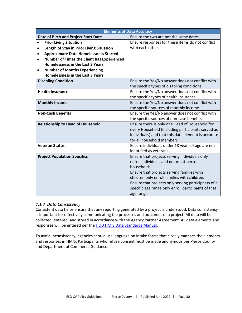| <b>Elements of Data Accuracy</b>                        |                                                     |  |  |
|---------------------------------------------------------|-----------------------------------------------------|--|--|
| Date of Birth and Project Start Date                    | Ensure the two are not the same dates.              |  |  |
| <b>Prior Living Situation</b><br>$\bullet$              | Ensure responses for these items do not conflict    |  |  |
| Length of Stay in Prior Living Situation<br>$\bullet$   | with each other.                                    |  |  |
| <b>Approximate Date Homelessness Started</b><br>٠       |                                                     |  |  |
| Number of Times the Client has Experienced<br>$\bullet$ |                                                     |  |  |
| <b>Homelessness in the Last 3 Years</b>                 |                                                     |  |  |
| <b>Number of Months Experiencing</b><br>$\bullet$       |                                                     |  |  |
| Homelessness in the Last 3 Years                        |                                                     |  |  |
| <b>Disabling Condition</b>                              | Ensure the Yes/No answer does not conflict with     |  |  |
|                                                         | the specific types of disabling conditions.         |  |  |
| <b>Health Insurance</b>                                 | Ensure the Yes/No answer does not conflict with     |  |  |
|                                                         | the specific types of health insurance.             |  |  |
| <b>Monthly Income</b>                                   | Ensure the Yes/No answer does not conflict with     |  |  |
|                                                         | the specific sources of monthly income.             |  |  |
| <b>Non-Cash Benefits</b>                                | Ensure the Yes/No answer does not conflict with     |  |  |
|                                                         | the specific sources of non-case benefits.          |  |  |
| <b>Relationship to Head of Household</b>                | Ensure there is only one Head of Household for      |  |  |
|                                                         | every Household (including participants served as   |  |  |
|                                                         | individuals) and that this data element is accurate |  |  |
|                                                         | for all household members.                          |  |  |
| <b>Veteran Status</b>                                   | Ensure individuals under 18 years of age are not    |  |  |
|                                                         | identified as veterans.                             |  |  |
| <b>Project Population Specifics</b>                     | Ensure that projects serving individuals only       |  |  |
|                                                         | enroll individuals and not multi-person             |  |  |
|                                                         | households.                                         |  |  |
|                                                         | Ensure that projects serving families with          |  |  |
|                                                         | children only enroll families with children.        |  |  |
|                                                         | Ensure that projects only serving participants of a |  |  |
|                                                         | specific age range only enroll participants of that |  |  |
|                                                         | age range.                                          |  |  |

#### *7.1.4 Data Consistency*

Consistent data helps ensure that any reporting generated by a project is understood. Data consistency is important for effectively communicating the processes and outcomes of a project. All data will be collected, entered, and stored in accordance with the Agency Partner Agreement. All data elements and responses will be entered per the [HUD HMIS Data Standards Manual.](https://www.hudexchange.info/resource/3824/hmis-data-dictionary/)

To avoid inconsistency, agencies should use language on intake forms that closely matches the elements and responses in HMIS. Participants who refuse consent must be made anonymous per Pierce County and Department of Commerce Guidance.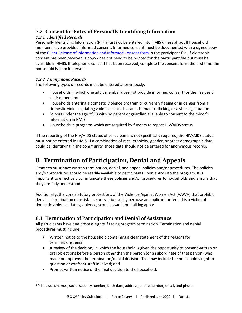# <span id="page-33-0"></span>**7.2 Consent for Entry of Personally Identifying Information**

# *7.2.1 Identified Records*

Personally Identifying Information (PII)<sup>3</sup> must not be entered into HMIS unless all adult household members have provided informed consent. Informed consent must be documented with a signed copy of the [Client Release of Information and Informed Consent form](https://www.piercecountywa.gov/DocumentCenter/View/67920/2018_6_Client-ROI-and-Informed-Consent?bidId=) in the participant file. If electronic consent has been received, a copy does not need to be printed for the participant file but must be available in HMIS. If telephonic consent has been received, complete the consent form the first time the household is seen in person.

# *7.2.2 Anonymous Records*

The following types of records must be entered anonymously:

- Households in which one adult member does not provide informed consent for themselves or their dependents
- Households entering a domestic violence program or currently fleeing or in danger from a domestic violence, dating violence, sexual assault, human trafficking or a stalking situation
- Minors under the age of 13 with no parent or guardian available to consent to the minor's information in HMIS
- Households in programs which are required by funders to report HIV/AIDS status

If the reporting of the HIV/AIDS status of participants is not specifically required, the HIV/AIDS status must not be entered in HMIS. If a combination of race, ethnicity, gender, or other demographic data could be identifying in the community, those data should not be entered for anonymous records.

# <span id="page-33-1"></span>**8. Termination of Participation, Denial and Appeals**

Grantees must have written termination, denial, and appeal policies and/or procedures. The policies and/or procedures should be readily available to participants upon entry into the program. It is important to effectively communicate these policies and/or procedures to households and ensure that they are fully understood.

Additionally, the core statutory protections of the Violence Against Women Act (VAWA) that prohibit denial or termination of assistance or eviction solely because an applicant or tenant is a victim of domestic violence, dating violence, sexual assault, or stalking apply.

# <span id="page-33-2"></span>**8.1 Termination of Participation and Denial of Assistance**

All participants have due process rights if facing program termination. Termination and denial procedures must include:

- Written notice to the household containing a clear statement of the reasons for termination/denial
- A review of the decision, in which the household is given the opportunity to present written or oral objections before a person other than the person (or a subordinate of that person) who made or approved the termination/denial decision. This may include the household's right to question or confront staff involved; and
- Prompt written notice of the final decision to the household.

<sup>&</sup>lt;sup>3</sup> PII includes names, social security number, birth date, address, phone number, email, and photo.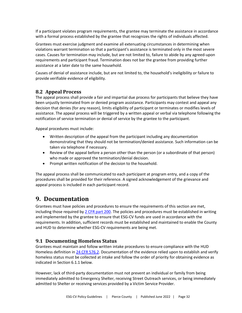If a participant violates program requirements, the grantee may terminate the assistance in accordance with a formal process established by the grantee that recognizes the rights of individuals affected.

Grantees must exercise judgment and examine all extenuating circumstances in determining when violations warrant termination so that a participant's assistance is terminated only in the most severe cases. Causes for termination may include, but are not limited to, failure to abide by any agreed-upon requirements and participant fraud. Termination does not bar the grantee from providing further assistance at a later date to the same household.

Causes of denial of assistance include, but are not limited to, the household's ineligibility or failure to provide verifiable evidence of eligibility.

# <span id="page-34-0"></span>**8.2 Appeal Process**

The appeal process shall provide a fair and impartial due process for participants that believe they have been unjustly terminated from or denied program assistance. Participants may contest and appeal any decision that denies (for any reason), limits eligibility of participant or terminates or modifies levels of assistance. The appeal process will be triggered by a written appeal or verbal via telephone following the notification of service termination or denial of service by the grantee to the participant.

Appeal procedures must include:

- Written description of the appeal from the participant including any documentation demonstrating that they should not be termination/denied assistance. Such information can be taken via telephone if necessary.
- Review of the appeal before a person other than the person (or a subordinate of that person) who made or approved the termination/denial decision.
- Prompt written notification of the decision to the household.

The appeal process shall be communicated to each participant at program entry, and a copy of the procedures shall be provided for their reference. A signed acknowledgement of the grievance and appeal process is included in each participant record.

# <span id="page-34-1"></span>**9. Documentation**

Grantees must have policies and procedures to ensure the requirements of this section are met, including those required b[y 2 CFR part 200.](https://ecfr.federalregister.gov/current/title-2/subtitle-A/chapter-II/part-200/subpart-D/subject-group-ECFR8feb98c2e3e5ad2/section-200.318) The policies and procedures must be established in writing and implemented by the grantee to ensure that ESG-CV funds are used in accordance with the requirements. In addition, sufficient records must be established and maintained to enable the County and HUD to determine whether ESG-CV requirements are being met.

# <span id="page-34-2"></span>**9.1 Documenting Homeless Status**

Grantees must maintain and follow written intake procedures to ensure compliance with the HUD Homeless definition in 24 CFR 576.2. Documentation of the evidence relied upon to establish and verify homeless status must be collected at intake and follow the order of priority for obtaining evidence as indicated in Section 6.1.1 below.

However, lack of third-party documentation must not prevent an individual or family from being immediately admitted to Emergency Shelter, receiving Street Outreach services, or being immediately admitted to Shelter or receiving services provided by a Victim Service Provider.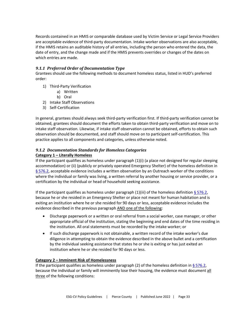Records contained in an HMIS or comparable database used by Victim Service or Legal Service Providers are acceptable evidence of third-party documentation. Intake worker observations are also acceptable, if the HMIS retains an auditable history of all entries, including the person who entered the data, the date of entry, and the change made and if the HMIS prevents overrides or changes of the dates on which entries are made.

#### *9.1.1 Preferred Order of Documentation Type*

Grantees should use the following methods to document homeless status, listed in HUD's preferred order:

- 1) Third-Party Verification
	- a) Written
	- b) Oral
- 2) Intake Staff Observations
- 3) Self-Certification

In general, grantees should always seek third-party verification first. If third-party verification cannot be obtained, grantees should document the efforts taken to obtain third-party verification and move on to intake staff observation. Likewise, if intake staff observation cannot be obtained, efforts to obtain such observation should be documented, and staff should move on to participant self-certification. This practice applies to all components and categories, unless otherwise noted.

#### *9.1.2 Documentation Standards for Homeless Categories*

#### **Category 1 – Literally Homeless**

If the participant qualifies as homeless under paragraph (1)(i) (a place not designed for regular sleeping accommodation) or (ii) (publicly or privately operated Emergency Shelter) of the homeless definition in  $§$  576.2, acceptable evidence includes a written observation by an Outreach worker of the conditions where the individual or family was living, a written referral by another housing or service provider, or a certification by the individual or head of household seeking assistance.

If the participant qualifies as homeless under paragraph (1)(iii) of the homeless definition  $\S$  576.2, because he or she resided in an Emergency Shelter or place not meant for human habitation and is exiting an institution where he or she resided for 90 days or less, acceptable evidence includes the evidence described in the previous paragraph AND one of the following:

- Discharge paperwork or a written or oral referral from a social worker, case manager, or other appropriate official of the institution, stating the beginning and end dates of the time residing in the institution. All oral statements must be recorded by the intake worker; or
- If such discharge paperwork is not obtainable, a written record of the intake worker's due diligence in attempting to obtain the evidence described in the above bullet and a certification by the individual seeking assistance that states he or she is exiting or has just exited an institution where he or she resided for 90 days or less.

#### **Category 2 – Imminent Risk of Homelessness**

If the participant qualifies as homeless under paragraph (2) of the homeless definition in  $\S$  576.2, because the individual or family will imminently lose their housing, the evidence must document all three of the following conditions: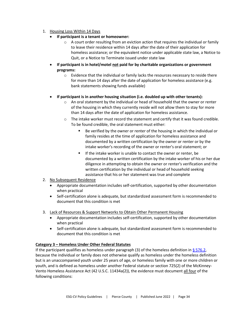#### 1. Housing Loss Within 14 Days

- **If participant is a tenant or homeowner:**
	- $\circ$  A court order resulting from an eviction action that requires the individual or family to leave their residence within 14 days after the date of their application for homeless assistance; or the equivalent notice under applicable state law, a Notice to Quit, or a Notice to Terminate issued under state law
- **If participant is in hotel/motel not paid for by charitable organizations or government programs:**
	- $\circ$  Evidence that the individual or family lacks the resources necessary to reside there for more than 14 days after the date of application for homeless assistance (e.g. bank statements showing funds available)

#### • **If participant is in another housing situation (i.e. doubled up with other tenants):**

- $\circ$  An oral statement by the individual or head of household that the owner or renter of the housing in which they currently reside will not allow them to stay for more than 14 days after the date of application for homeless assistance.
- $\circ$  The intake worker must record the statement and certify that it was found credible. To be found credible, the oral statement must either:
	- Be verified by the owner or renter of the housing in which the individual or family resides at the time of application for homeless assistance and documented by a written certification by the owner or renter or by the intake worker's recording of the owner or renter's oral statement; or
	- If the intake worker is unable to contact the owner or renter, be documented by a written certification by the intake worker of his or her due diligence in attempting to obtain the owner or renter's verification and the written certification by the individual or head of household seeking assistance that his or her statement was true and complete
- 2. No Subsequent Residence
	- Appropriate documentation includes self-certification, supported by other documentation when practical
	- Self-certification alone is adequate, but standardized assessment form is recommended to document that this condition is met
- 3. Lack of Resources & Support Networks to Obtain Other Permanent Housing
	- Appropriate documentation includes self-certification, supported by other documentation when practical
	- Self-certification alone is adequate, but standardized assessment form is recommended to document that this condition is met

#### **Category 3 – Homeless Under Other Federal Statutes**

If the participant qualifies as homeless under paragraph (3) of the homeless definition in  $\S$  576.2, because the individual or family does not otherwise qualify as homeless under the homeless definition but is an unaccompanied youth under 25 years of age, or homeless family with one or more children or youth, and is defined as homeless under another Federal statute or section 725(2) of the McKinney-Vento Homeless Assistance Act (42 U.S.C. 11434a(2)), the evidence must document all four of the following conditions: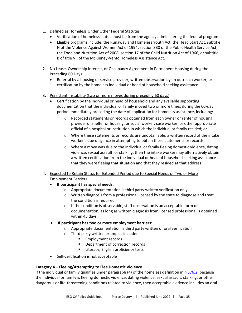- 1. Defined as Homeless Under Other Federal Statutes
	- Verification of homeless status must be from the agency administering the federal program.
	- Eligible programs include: the Runaway and Homeless Youth Act, the Head Start Act, subtitle N of the Violence Against Women Act of 1994, section 330 of the Public Health Service Act, the Food and Nutrition Act of 2008, section 17 of the Child Nutrition Act of 1966, or subtitle B of title VII of the McKinney-Vento Homeless Assistance Act.
- 2. No Lease, Ownership Interest, or Occupancy Agreement in Permanent Housing during the Preceding 60 Days
	- Referral by a housing or service provider, written observation by an outreach worker, or certification by the homeless individual or head of household seeking assistance.
- 3. Persistent Instability (two or more moves during preceding 60 days)
	- Certification by the individual or head of household and any available supporting documentation that the individual or family moved two or more times during the 60-day period immediately preceding the date of application for homeless assistance, including:
		- o Recorded statements or records obtained from each owner or renter of housing, provider of shelter or housing, or social worker, case worker, or other appropriate official of a hospital or institution in which the individual or family resided; or
		- o Where these statements or records are unobtainable, a written record of the intake worker's due diligence in attempting to obtain these statements or records.
		- $\circ$  Where a move was due to the individual or family fleeing domestic violence, dating violence, sexual assault, or stalking, then the intake worker may alternatively obtain a written certification from the individual or head of household seeking assistance that they were fleeing that situation and that they resided at that address.
- 4. Expected to Retain Status for Extended Period due to Special Needs or Two or More Employment Barriers
	- **If participant has special needs:**
		- o Appropriate documentation is third party written verification only
		- o Written diagnosis from a professional licensed by the state to diagnose and treat the condition is required
		- o If the condition is observable, staff observation is an acceptable form of documentation, as long as written diagnosis from licensed professional is obtained within 45 days
	- **If participant has two or more employment barriers:**
		- o Appropriate documentation is third party written or oral verification
		- o Third party written examples include:
			- Employment records
			- Department of correction records
			- **E** Literacy, English proficiency tests
	- Self-certification is not acceptable

#### **Category 4 – Fleeing/Attempting to Flee Domestic Violence**

If the individual or family qualifies under paragraph  $(4)$  of the homeless definition in § 576.2, because the individual or family is fleeing domestic violence, dating violence, sexual assault, stalking, or other dangerous or life-threatening conditions related to violence, then acceptable evidence includes an oral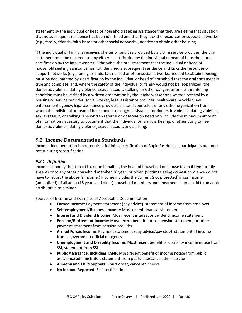statement by the individual or head of household seeking assistance that they are fleeing that situation, that no subsequent residence has been identified and that they lack the resources or support networks (e.g., family, friends, faith-based or other social networks), needed to obtain other housing.

If the individual or family is receiving shelter or services provided by a victim service provider, the oral statement must be documented by either a certification by the individual or head of household or a certification by the intake worker. Otherwise, the oral statement that the individual or head of household seeking assistance has not identified a subsequent residence and lacks the resources or support networks (e.g., family, friends, faith-based or other social networks, needed to obtain housing) must be documented by a certification by the individual or head of household that the oral statement is true and complete, and, where the safety of the individual or family would not be jeopardized, the domestic violence, dating violence, sexual assault, stalking, or other dangerous or life-threatening condition must be verified by a written observation by the intake worker or a written referral by a housing or service provider, social worker, legal assistance provider, health-care provider, law enforcement agency, legal assistance provider, pastoral counselor, or any other organization from whom the individual or head of household has sought assistance for domestic violence, dating violence, sexual assault, or stalking. The written referral or observation need only include the minimum amount of information necessary to document that the individual or family is fleeing, or attempting to flee domestic violence, dating violence, sexual assault, and stalking.

# <span id="page-38-0"></span>**9.2 Income Documentation Standards**

Income documentation is not required for initial certification of Rapid Re-Housing participants but must occur during recertification.

#### *9.2.1 Definition*

Income is money that is paid to, or on behalf of, the head of household or spouse (even if temporarily absent) or to any other household member 18 years or older. (Victims fleeing domestic violence do not have to report the abuser's income.) Income includes the current (not projected) gross income (annualized) of all adult (18 years and older) household members and unearned income paid to an adult attributable to a minor.

Sources of Income and Examples of Acceptable Documentation

- **Earned Income**: Payment statement (pay advice), statement of income from employer
- **Self-employment/Business Income**: Most recent financial statement
- **Interest and Dividend Income**: Most recent interest or dividend income statement
- **Pension/Retirement Income**: Most recent benefit notice, pension statement, or other payment statement from pension provider
- **Armed Forces Income**: Payment statement (pay advice/pay stub), statement of income from a government official or agency
- **Unemployment and Disability Income**: Most recent benefit or disability income notice from SSI, statement from SSI
- **Public Assistance, including TANF**: Most recent benefit or income notice from public assistance administrator, statement from public assistance administrator
- **Alimony and Child Support**: Court order, cancelled checks
- **No Income Reported**: Self-certification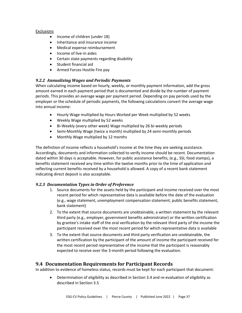#### Exclusions

- Income of children (under 18)
- Inheritance and insurance income
- Medical expense reimbursement
- Income of live-in aides
- Certain state payments regarding disability
- Student financial aid
- Armed Forces Hostile Fire pay

#### *9.2.2 Annualizing Wages and Periodic Payments*

When calculating income based on hourly, weekly, or monthly payment information, add the gross amount earned in each payment period that is documented and divide by the number of payment periods. This provides an average wage per payment period. Depending on pay periods used by the employer or the schedule of periodic payments, the following calculations convert the average wage into annual income:

- Hourly Wage multiplied by Hours Worked per Week multiplied by 52 weeks
- Weekly Wage multiplied by 52 weeks
- Bi-Weekly (every other week) Wage multiplied by 26 bi-weekly periods
- Semi-Monthly Wage (twice a month) multiplied by 24 semi-monthly periods
- Monthly Wage multiplied by 12 months

The definition of income reflects a household's income at the time they are seeking assistance. Accordingly, documents and information collected to verify income should be recent. Documentation dated within 30 days is acceptable. However, for public assistance benefits, (e.g., SSI, food stamps), a benefits statement received any time within the twelve months prior to the time of application and reflecting current benefits received by a household is allowed. A copy of a recent bank statement indicating direct deposit is also acceptable.

#### *9.2.3 Documentation Types in Order of Preference*

- 1. Source documents for the assets held by the participant and income received over the most recent period for which representative data is available before the date of the evaluation (e.g., wage statement, unemployment compensation statement, public benefits statement, bank statement)
- 2. To the extent that source documents are unobtainable, a written statement by the relevant third party (e.g., employer, government benefits administrator) or the written certification by grantee's intake staff of the oral verification by the relevant third party of the income the participant received over the most recent period for which representative data is available
- 3. To the extent that source documents and third party verification are unobtainable, the written certification by the participant of the amount of income the participant received for the most recent period representative of the income that the participant is reasonably expected to receive over the 3-month period following the evaluation.

# <span id="page-39-0"></span>**9.4 Documentation Requirements for Participant Records**

In addition to evidence of homeless status, records must be kept for each participant that document:

• Determination of eligibility as described in Section 3.4 and re-evaluation of eligibility as described in Section 3.5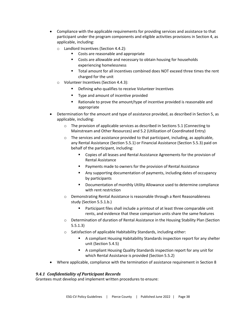- Compliance with the applicable requirements for providing services and assistance to that participant under the program components and eligible activities provisions in Section 4, as applicable, including:
	- o Landlord Incentives (Section 4.4.2):
		- Costs are reasonable and appropriate
		- Costs are allowable and necessary to obtain housing for households experiencing homelessness
		- Total amount for all incentives combined does NOT exceed three times the rent charged for the unit
	- o Volunteer Incentives (Section 4.4.3):
		- Defining who qualifies to receive Volunteer Incentives
		- Type and amount of incentive provided
		- Rationale to prove the amount/type of incentive provided is reasonable and appropriate
- Determination for the amount and type of assistance provided, as described in Section 5, as applicable, including:
	- o The provision of applicable services as described in Sections 5.1 (Connecting to Mainstream and Other Resources) and 5.2 (Utilization of Coordinated Entry)
	- $\circ$  The services and assistance provided to that participant, including, as applicable, any Rental Assistance (Section 5.5.1) or Financial Assistance (Section 5.5.3) paid on behalf of the participant, including:
		- Copies of all leases and Rental Assistance Agreements for the provision of Rental Assistance
		- Payments made to owners for the provision of Rental Assistance
		- Any supporting documentation of payments, including dates of occupancy by participants
		- Documentation of monthly Utility Allowance used to determine compliance with rent restriction
	- o Demonstrating Rental Assistance is reasonable through a Rent Reasonableness study (Section 5.5.1.b.)
		- Participant files shall include a printout of at least three comparable unit rents, and evidence that these comparison units share the same features
	- o Determination of duration of Rental Assistance in the Housing Stability Plan (Section 5.5.1.3)
	- o Satisfaction of applicable Habitability Standards, including either:
		- A compliant Housing Habitability Standards inspection report for any shelter unit (Section 5.4.5)
		- A compliant Housing Quality Standards inspection report for any unit for which Rental Assistance is provided (Section 5.5.2)
- Where applicable, compliance with the termination of assistance requirement in Section 8

#### *9.4.1 Confidentiality of Participant Records*

Grantees must develop and implement written procedures to ensure: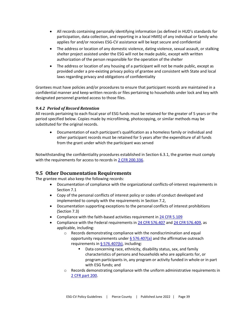- All records containing personally identifying information (as defined in HUD's standards for participation, data collection, and reporting in a local HMIS) of any individual or family who applies for and/or receives ESG-CV assistance will be kept secure and confidential
- The address or location of any domestic violence, dating violence, sexual assault, or stalking shelter project assisted under the ESG will not be made public, except with written authorization of the person responsible for the operation of the shelter
- The address or location of any housing of a participant will not be made public, except as provided under a pre-existing privacy policy of grantee and consistent with State and local laws regarding privacy and obligations of confidentiality

Grantees must have policies and/or procedures to ensure that participant records are maintained in a confidential manner and keep written records or files pertaining to households under lock and key with designated personnel granted access to those files.

#### *9.4.2 Period of Record Retention*

All records pertaining to each fiscal year of ESG funds must be retained for the greater of 5 years or the period specified below. Copies made by microfilming, photocopying, or similar methods may be substituted for the original records.

• Documentation of each participant's qualification as a homeless family or individual and other participant records must be retained for 5 years after the expenditure of all funds from the grant under which the participant was served

Notwithstanding the confidentiality procedures established in Section 6.3.1, the grantee must comply with the requirements for access to records i[n 2 CFR 200.336.](https://ecfr.federalregister.gov/current/title-2/subtitle-A/chapter-II/part-200/subpart-D/subject-group-ECFR4acc10e7e3b676f/section-200.336)

# <span id="page-41-0"></span>**9.5 Other Documentation Requirements**

The grantee must also keep the following records:

- Documentation of compliance with the organizational conflicts-of-interest requirements in Section 7.1
- Copy of the personal conflicts of interest policy or codes of conduct developed and implemented to comply with the requirements in Section 7.2,
- Documentation supporting exceptions to the personal conflicts of interest prohibitions (Section 7.3)
- Compliance with the faith-based activities requirement i[n 24 CFR 5.109](https://ecfr.federalregister.gov/current/title-24/subtitle-A/part-5/subpart-A/section-5.109)
- Compliance with the Federal requirements in [24 CFR 576.407](https://ecfr.federalregister.gov/current/title-24/subtitle-B/chapter-V/subchapter-C/part-576/subpart-E/section-576.407) and [24 CFR 576.409](https://ecfr.federalregister.gov/current/title-24/subtitle-B/chapter-V/subchapter-C/part-576/subpart-E/section-576.409), as applicable, including:
	- o Records demonstrating compliance with the nondiscrimination and equal opportunity requirements under  $\S$  576.407(a) and the affirmative outreach requirements in  $\S$  576.407(b), including:
		- Data concerning race, ethnicity, disability status, sex, and family characteristics of persons and households who are applicants for, or program participants in, any program or activity funded in whole or in part with ESG funds; and
	- $\circ$  Records demonstrating compliance with the uniform administrative requirements in [2 CFR part 200.](https://ecfr.federalregister.gov/current/title-2/subtitle-A/chapter-II/part-200/subpart-D/subject-group-ECFR8feb98c2e3e5ad2/section-200.318)